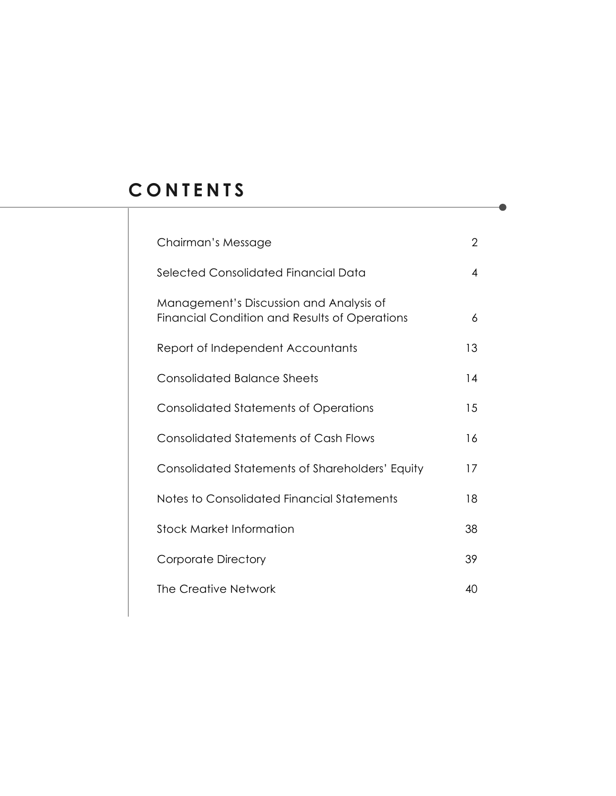# **C O N T E N T S**

| Chairman's Message                                                                       | 2  |
|------------------------------------------------------------------------------------------|----|
| Selected Consolidated Financial Data                                                     | 4  |
| Management's Discussion and Analysis of<br>Financial Condition and Results of Operations | 6  |
| Report of Independent Accountants                                                        | 13 |
| <b>Consolidated Balance Sheets</b>                                                       | 14 |
| <b>Consolidated Statements of Operations</b>                                             | 15 |
| <b>Consolidated Statements of Cash Flows</b>                                             | 16 |
| Consolidated Statements of Shareholders' Equity                                          | 17 |
| Notes to Consolidated Financial Statements                                               | 18 |
| <b>Stock Market Information</b>                                                          | 38 |
| <b>Corporate Directory</b>                                                               | 39 |
| <b>The Creative Network</b>                                                              | 40 |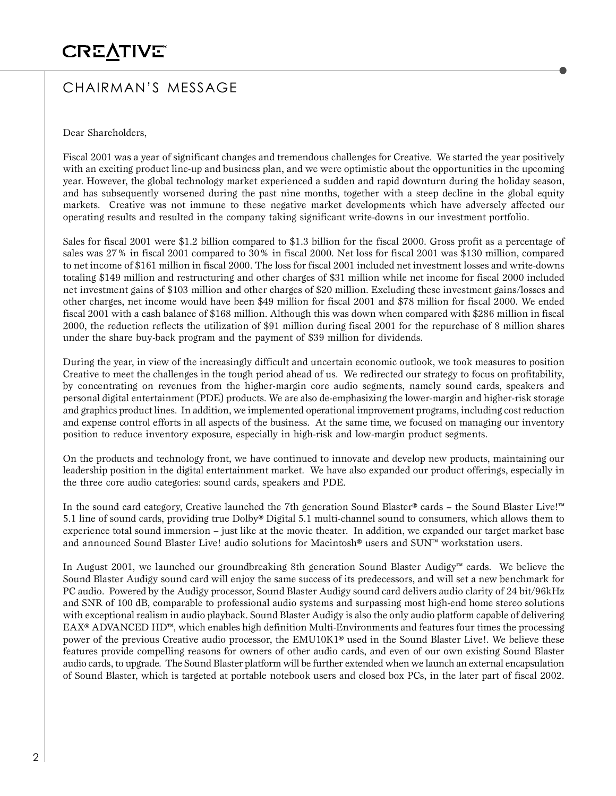# CHAIRMAN'S MESSAGE

Dear Shareholders,

Fiscal 2001 was a year of significant changes and tremendous challenges for Creative. We started the year positively with an exciting product line-up and business plan, and we were optimistic about the opportunities in the upcoming year. However, the global technology market experienced a sudden and rapid downturn during the holiday season, and has subsequently worsened during the past nine months, together with a steep decline in the global equity markets. Creative was not immune to these negative market developments which have adversely affected our operating results and resulted in the company taking significant write-downs in our investment portfolio.

Sales for fiscal 2001 were \$1.2 billion compared to \$1.3 billion for the fiscal 2000. Gross profit as a percentage of sales was 27% in fiscal 2001 compared to 30% in fiscal 2000. Net loss for fiscal 2001 was \$130 million, compared to net income of \$161 million in fiscal 2000. The loss for fiscal 2001 included net investment losses and write-downs totaling \$149 million and restructuring and other charges of \$31 million while net income for fiscal 2000 included net investment gains of \$103 million and other charges of \$20 million. Excluding these investment gains/losses and other charges, net income would have been \$49 million for fiscal 2001 and \$78 million for fiscal 2000. We ended fiscal 2001 with a cash balance of \$168 million. Although this was down when compared with \$286 million in fiscal 2000, the reduction reflects the utilization of \$91 million during fiscal 2001 for the repurchase of 8 million shares under the share buy-back program and the payment of \$39 million for dividends.

During the year, in view of the increasingly difficult and uncertain economic outlook, we took measures to position Creative to meet the challenges in the tough period ahead of us. We redirected our strategy to focus on profitability, by concentrating on revenues from the higher-margin core audio segments, namely sound cards, speakers and personal digital entertainment (PDE) products. We are also de-emphasizing the lower-margin and higher-risk storage and graphics product lines. In addition, we implemented operational improvement programs, including cost reduction and expense control efforts in all aspects of the business. At the same time, we focused on managing our inventory position to reduce inventory exposure, especially in high-risk and low-margin product segments.

On the products and technology front, we have continued to innovate and develop new products, maintaining our leadership position in the digital entertainment market. We have also expanded our product offerings, especially in the three core audio categories: sound cards, speakers and PDE.

In the sound card category, Creative launched the 7th generation Sound Blaster® cards – the Sound Blaster Live!™ 5.1 line of sound cards, providing true Dolby® Digital 5.1 multi-channel sound to consumers, which allows them to experience total sound immersion – just like at the movie theater. In addition, we expanded our target market base and announced Sound Blaster Live! audio solutions for Macintosh® users and SUN™ workstation users.

In August 2001, we launched our groundbreaking 8th generation Sound Blaster Audigy™ cards. We believe the Sound Blaster Audigy sound card will enjoy the same success of its predecessors, and will set a new benchmark for PC audio. Powered by the Audigy processor, Sound Blaster Audigy sound card delivers audio clarity of 24 bit/96kHz and SNR of 100 dB, comparable to professional audio systems and surpassing most high-end home stereo solutions with exceptional realism in audio playback. Sound Blaster Audigy is also the only audio platform capable of delivering EAX® ADVANCED HD™, which enables high definition Multi-Environments and features four times the processing power of the previous Creative audio processor, the EMU10K1® used in the Sound Blaster Live!. We believe these features provide compelling reasons for owners of other audio cards, and even of our own existing Sound Blaster audio cards, to upgrade. The Sound Blaster platform will be further extended when we launch an external encapsulation of Sound Blaster, which is targeted at portable notebook users and closed box PCs, in the later part of fiscal 2002.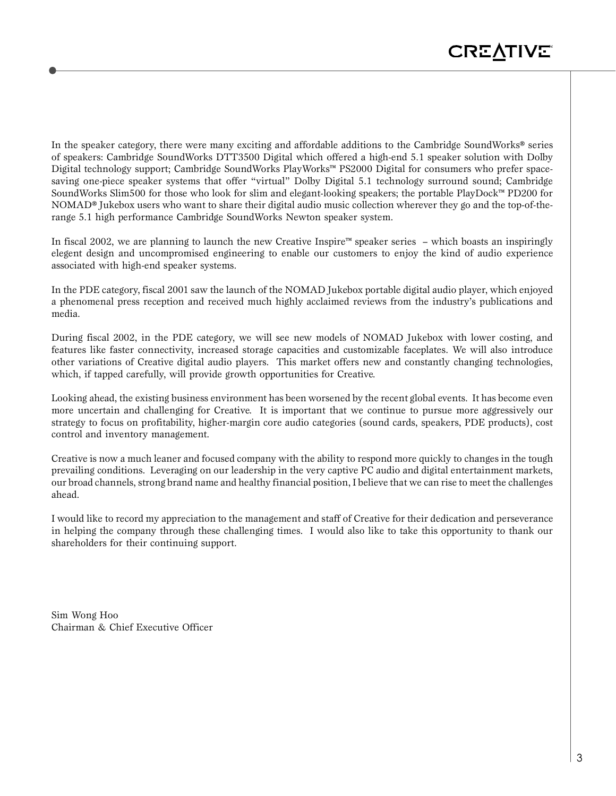In the speaker category, there were many exciting and affordable additions to the Cambridge SoundWorks® series of speakers: Cambridge SoundWorks DTT3500 Digital which offered a high-end 5.1 speaker solution with Dolby Digital technology support; Cambridge SoundWorks PlayWorks™ PS2000 Digital for consumers who prefer spacesaving one-piece speaker systems that offer "virtual" Dolby Digital 5.1 technology surround sound; Cambridge SoundWorks Slim500 for those who look for slim and elegant-looking speakers; the portable PlayDock™ PD200 for NOMAD® Jukebox users who want to share their digital audio music collection wherever they go and the top-of-therange 5.1 high performance Cambridge SoundWorks Newton speaker system.

In fiscal 2002, we are planning to launch the new Creative Inspire™ speaker series – which boasts an inspiringly elegent design and uncompromised engineering to enable our customers to enjoy the kind of audio experience associated with high-end speaker systems.

In the PDE category, fiscal 2001 saw the launch of the NOMAD Jukebox portable digital audio player, which enjoyed a phenomenal press reception and received much highly acclaimed reviews from the industry's publications and media.

During fiscal 2002, in the PDE category, we will see new models of NOMAD Jukebox with lower costing, and features like faster connectivity, increased storage capacities and customizable faceplates. We will also introduce other variations of Creative digital audio players. This market offers new and constantly changing technologies, which, if tapped carefully, will provide growth opportunities for Creative.

Looking ahead, the existing business environment has been worsened by the recent global events. It has become even more uncertain and challenging for Creative. It is important that we continue to pursue more aggressively our strategy to focus on profitability, higher-margin core audio categories (sound cards, speakers, PDE products), cost control and inventory management.

Creative is now a much leaner and focused company with the ability to respond more quickly to changes in the tough prevailing conditions. Leveraging on our leadership in the very captive PC audio and digital entertainment markets, our broad channels, strong brand name and healthy financial position, I believe that we can rise to meet the challenges ahead.

I would like to record my appreciation to the management and staff of Creative for their dedication and perseverance in helping the company through these challenging times. I would also like to take this opportunity to thank our shareholders for their continuing support.

Sim Wong Hoo Chairman & Chief Executive Officer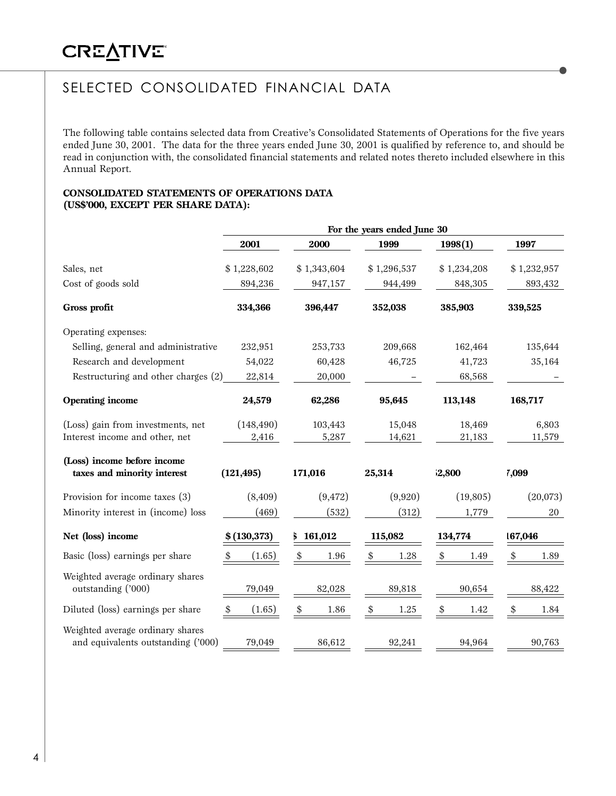# SELECTED CONSOLIDATED FINANCIAL DATA

The following table contains selected data from Creative's Consolidated Statements of Operations for the five years ended June 30, 2001. The data for the three years ended June 30, 2001 is qualified by reference to, and should be read in conjunction with, the consolidated financial statements and related notes thereto included elsewhere in this Annual Report.

#### **CONSOLIDATED STATEMENTS OF OPERATIONS DATA (US\$'000, EXCEPT PER SHARE DATA):**

|                                                                        |                     |                  | For the years ended June 30 |                  |                 |
|------------------------------------------------------------------------|---------------------|------------------|-----------------------------|------------------|-----------------|
|                                                                        | 2001                | 2000             | 1999                        | 1998(1)          | 1997            |
| Sales, net                                                             | \$1,228,602         | \$1,343,604      | \$1,296,537                 | \$1,234,208      | \$1,232,957     |
| Cost of goods sold                                                     | 894,236             | 947,157          | 944,499                     | 848,305          | 893,432         |
| Gross profit                                                           | 334,366             | 396,447          | 352,038                     | 385,903          | 339,525         |
| Operating expenses:                                                    |                     |                  |                             |                  |                 |
| Selling, general and administrative                                    | 232,951             | 253,733          | 209,668                     | 162,464          | 135,644         |
| Research and development                                               | 54,022              | 60,428           | 46,725                      | 41,723           | 35,164          |
| Restructuring and other charges (2)                                    | 22,814              | 20,000           |                             | 68,568           |                 |
| <b>Operating income</b>                                                | 24,579              | 62,286           | 95,645                      | 113,148          | 168,717         |
| (Loss) gain from investments, net<br>Interest income and other, net    | (148, 490)<br>2,416 | 103,443<br>5,287 | 15,048<br>14,621            | 18,469<br>21,183 | 6,803<br>11,579 |
| (Loss) income before income<br>taxes and minority interest             | (121, 495)          | 171,016          | 25,314                      | 2,800            | 7,099           |
| Provision for income taxes (3)                                         | (8,409)             | (9, 472)         | (9,920)                     | (19, 805)        | (20,073)        |
| Minority interest in (income) loss                                     | (469)               | (532)            | (312)                       | 1,779            | 20              |
| Net (loss) income                                                      | \$(130, 373)        | 161,012          | 115,082                     | 134,774          | 167,046         |
| Basic (loss) earnings per share                                        | (1.65)<br>\$        | \$<br>1.96       | 1.28<br>\$                  | \$<br>1.49       | \$<br>1.89      |
| Weighted average ordinary shares<br>outstanding ('000)                 | 79,049              | 82,028           | 89,818                      | 90,654           | 88,422          |
| Diluted (loss) earnings per share                                      | (1.65)<br>\$        | \$<br>1.86       | \$<br>1.25                  | \$<br>1.42       | \$<br>1.84      |
| Weighted average ordinary shares<br>and equivalents outstanding ('000) | 79,049              | 86,612           | 92,241                      | 94,964           | 90,763          |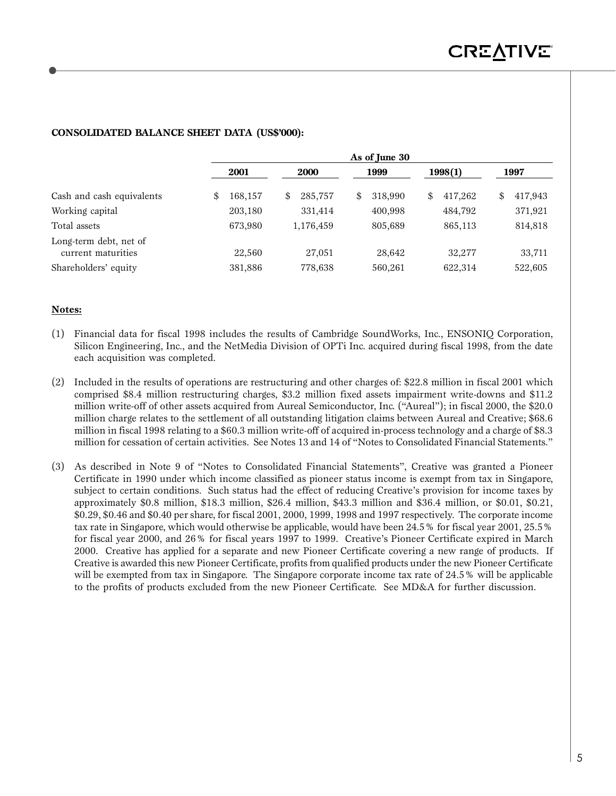|                                              | As of June 30 |   |             |   |         |    |         |    |         |  |  |  |
|----------------------------------------------|---------------|---|-------------|---|---------|----|---------|----|---------|--|--|--|
|                                              | 2001          |   | <b>2000</b> |   | 1999    |    | 1998(1) |    | 1997    |  |  |  |
| Cash and cash equivalents                    | \$<br>168,157 | S | 285,757     | S | 318,990 | \$ | 417,262 | \$ | 417,943 |  |  |  |
| Working capital                              | 203,180       |   | 331,414     |   | 400,998 |    | 484,792 |    | 371,921 |  |  |  |
| Total assets                                 | 673,980       |   | 1,176,459   |   | 805,689 |    | 865,113 |    | 814,818 |  |  |  |
| Long-term debt, net of<br>current maturities | 22,560        |   | 27,051      |   | 28,642  |    | 32,277  |    | 33,711  |  |  |  |
| Shareholders' equity                         | 381,886       |   | 778,638     |   | 560,261 |    | 622,314 |    | 522,605 |  |  |  |

### **CONSOLIDATED BALANCE SHEET DATA (US\$'000):**

#### **Notes:**

- (1) Financial data for fiscal 1998 includes the results of Cambridge SoundWorks, Inc., ENSONIQ Corporation, Silicon Engineering, Inc., and the NetMedia Division of OPTi Inc. acquired during fiscal 1998, from the date each acquisition was completed.
- (2) Included in the results of operations are restructuring and other charges of: \$22.8 million in fiscal 2001 which comprised \$8.4 million restructuring charges, \$3.2 million fixed assets impairment write-downs and \$11.2 million write-off of other assets acquired from Aureal Semiconductor, Inc. ("Aureal"); in fiscal 2000, the \$20.0 million charge relates to the settlement of all outstanding litigation claims between Aureal and Creative; \$68.6 million in fiscal 1998 relating to a \$60.3 million write-off of acquired in-process technology and a charge of \$8.3 million for cessation of certain activities. See Notes 13 and 14 of "Notes to Consolidated Financial Statements."
- (3) As described in Note 9 of "Notes to Consolidated Financial Statements", Creative was granted a Pioneer Certificate in 1990 under which income classified as pioneer status income is exempt from tax in Singapore, subject to certain conditions. Such status had the effect of reducing Creative's provision for income taxes by approximately \$0.8 million, \$18.3 million, \$26.4 million, \$43.3 million and \$36.4 million, or \$0.01, \$0.21, \$0.29, \$0.46 and \$0.40 per share, for fiscal 2001, 2000, 1999, 1998 and 1997 respectively. The corporate income tax rate in Singapore, which would otherwise be applicable, would have been 24.5% for fiscal year 2001, 25.5% for fiscal year 2000, and 26% for fiscal years 1997 to 1999. Creative's Pioneer Certificate expired in March 2000. Creative has applied for a separate and new Pioneer Certificate covering a new range of products. If Creative is awarded this new Pioneer Certificate, profits from qualified products under the new Pioneer Certificate will be exempted from tax in Singapore. The Singapore corporate income tax rate of 24.5% will be applicable to the profits of products excluded from the new Pioneer Certificate. See MD&A for further discussion.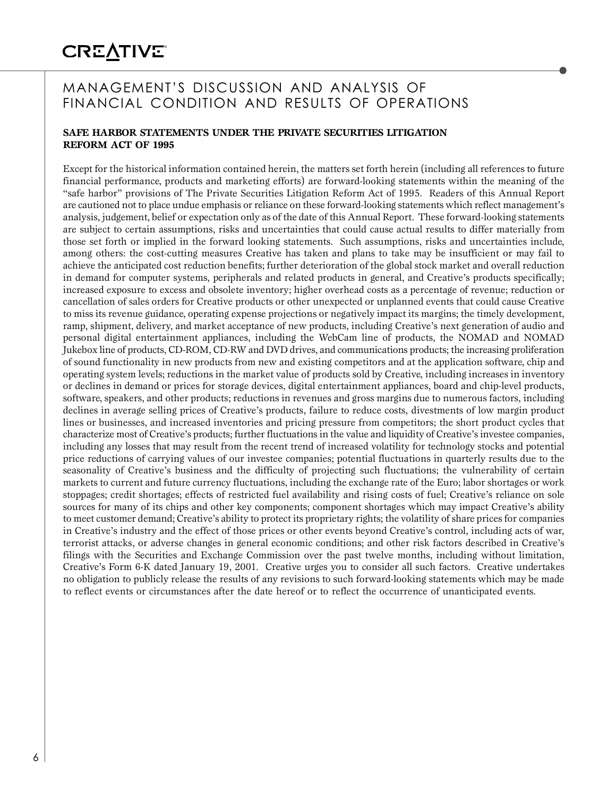# MANAGEMENT'S DISCUSSION AND ANALYSIS OF FINANCIAL CONDITION AND RESULTS OF OPERATIONS

### **SAFE HARBOR STATEMENTS UNDER THE PRIVATE SECURITIES LITIGATION REFORM ACT OF 1995**

Except for the historical information contained herein, the matters set forth herein (including all references to future financial performance, products and marketing efforts) are forward-looking statements within the meaning of the "safe harbor" provisions of The Private Securities Litigation Reform Act of 1995. Readers of this Annual Report are cautioned not to place undue emphasis or reliance on these forward-looking statements which reflect management's analysis, judgement, belief or expectation only as of the date of this Annual Report. These forward-looking statements are subject to certain assumptions, risks and uncertainties that could cause actual results to differ materially from those set forth or implied in the forward looking statements. Such assumptions, risks and uncertainties include, among others: the cost-cutting measures Creative has taken and plans to take may be insufficient or may fail to achieve the anticipated cost reduction benefits; further deterioration of the global stock market and overall reduction in demand for computer systems, peripherals and related products in general, and Creative's products specifically; increased exposure to excess and obsolete inventory; higher overhead costs as a percentage of revenue; reduction or cancellation of sales orders for Creative products or other unexpected or unplanned events that could cause Creative to miss its revenue guidance, operating expense projections or negatively impact its margins; the timely development, ramp, shipment, delivery, and market acceptance of new products, including Creative's next generation of audio and personal digital entertainment appliances, including the WebCam line of products, the NOMAD and NOMAD Jukebox line of products, CD-ROM, CD-RW and DVD drives, and communications products; the increasing proliferation of sound functionality in new products from new and existing competitors and at the application software, chip and operating system levels; reductions in the market value of products sold by Creative, including increases in inventory or declines in demand or prices for storage devices, digital entertainment appliances, board and chip-level products, software, speakers, and other products; reductions in revenues and gross margins due to numerous factors, including declines in average selling prices of Creative's products, failure to reduce costs, divestments of low margin product lines or businesses, and increased inventories and pricing pressure from competitors; the short product cycles that characterize most of Creative's products; further fluctuations in the value and liquidity of Creative's investee companies, including any losses that may result from the recent trend of increased volatility for technology stocks and potential price reductions of carrying values of our investee companies; potential fluctuations in quarterly results due to the seasonality of Creative's business and the difficulty of projecting such fluctuations; the vulnerability of certain markets to current and future currency fluctuations, including the exchange rate of the Euro; labor shortages or work stoppages; credit shortages; effects of restricted fuel availability and rising costs of fuel; Creative's reliance on sole sources for many of its chips and other key components; component shortages which may impact Creative's ability to meet customer demand; Creative's ability to protect its proprietary rights; the volatility of share prices for companies in Creative's industry and the effect of those prices or other events beyond Creative's control, including acts of war, terrorist attacks, or adverse changes in general economic conditions; and other risk factors described in Creative's filings with the Securities and Exchange Commission over the past twelve months, including without limitation, Creative's Form 6-K dated January 19, 2001. Creative urges you to consider all such factors. Creative undertakes no obligation to publicly release the results of any revisions to such forward-looking statements which may be made to reflect events or circumstances after the date hereof or to reflect the occurrence of unanticipated events.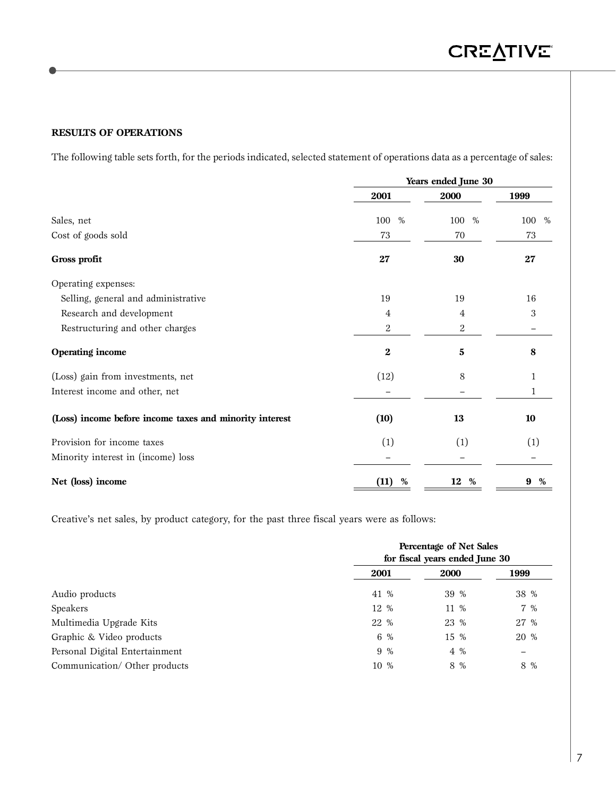**RESULTS OF OPERATIONS**

The following table sets forth, for the periods indicated, selected statement of operations data as a percentage of sales:

|                                                         | Years ended June 30 |             |             |
|---------------------------------------------------------|---------------------|-------------|-------------|
|                                                         | 2001                | 2000        | 1999        |
| Sales, net                                              | 100<br>%            | 100<br>$\%$ | 100<br>$\%$ |
| Cost of goods sold                                      | 73                  | 70          | 73          |
| Gross profit                                            | 27                  | 30          | 27          |
| Operating expenses:                                     |                     |             |             |
| Selling, general and administrative                     | 19                  | 19          | 16          |
| Research and development                                | 4                   | 4           | 3           |
| Restructuring and other charges                         | $\sqrt{2}$          | 2           |             |
| <b>Operating income</b>                                 | $\boldsymbol{2}$    | 5           | 8           |
| (Loss) gain from investments, net                       | (12)                | 8           | 1           |
| Interest income and other, net                          |                     |             | 1           |
| (Loss) income before income taxes and minority interest | (10)                | 13          | 10          |
| Provision for income taxes                              | (1)                 | (1)         | (1)         |
| Minority interest in (income) loss                      |                     |             |             |
| Net (loss) income                                       | (11)<br>%           | 12<br>%     | %<br>9      |

Creative's net sales, by product category, for the past three fiscal years were as follows:

|                                |      | Percentage of Net Sales<br>for fiscal years ended June 30 |      |  |  |  |  |  |  |
|--------------------------------|------|-----------------------------------------------------------|------|--|--|--|--|--|--|
|                                | 2001 | <b>2000</b>                                               | 1999 |  |  |  |  |  |  |
| Audio products                 | 41 % | 39 %                                                      | 38 % |  |  |  |  |  |  |
| Speakers                       | 12 % | 11 %                                                      | 7 %  |  |  |  |  |  |  |
| Multimedia Upgrade Kits        | 22 % | 23 %                                                      | 27 % |  |  |  |  |  |  |
| Graphic & Video products       | 6 %  | 15 %                                                      | 20 % |  |  |  |  |  |  |
| Personal Digital Entertainment | 9 %  | 4 %                                                       |      |  |  |  |  |  |  |
| Communication/ Other products  | 10 % | 8 %                                                       | 8 %  |  |  |  |  |  |  |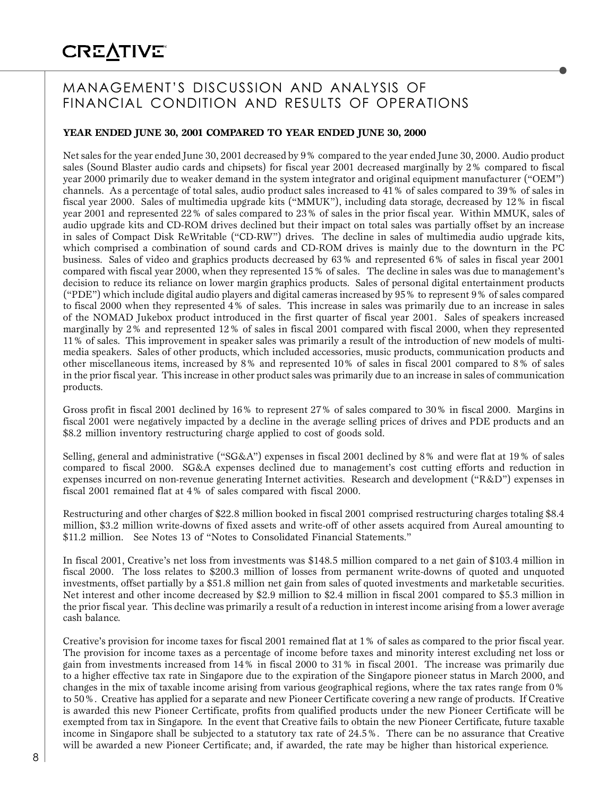# MANAGEMENT'S DISCUSSION AND ANALYSIS OF FINANCIAL CONDITION AND RESULTS OF OPERATIONS

### **YEAR ENDED JUNE 30, 2001 COMPARED TO YEAR ENDED JUNE 30, 2000**

Net sales for the year ended June 30, 2001 decreased by 9% compared to the year ended June 30, 2000. Audio product sales (Sound Blaster audio cards and chipsets) for fiscal year 2001 decreased marginally by 2% compared to fiscal year 2000 primarily due to weaker demand in the system integrator and original equipment manufacturer ("OEM") channels. As a percentage of total sales, audio product sales increased to 41% of sales compared to 39% of sales in fiscal year 2000. Sales of multimedia upgrade kits ("MMUK"), including data storage, decreased by 12% in fiscal year 2001 and represented 22% of sales compared to 23% of sales in the prior fiscal year. Within MMUK, sales of audio upgrade kits and CD-ROM drives declined but their impact on total sales was partially offset by an increase in sales of Compact Disk ReWritable ("CD-RW") drives. The decline in sales of multimedia audio upgrade kits, which comprised a combination of sound cards and CD-ROM drives is mainly due to the downturn in the PC business. Sales of video and graphics products decreased by 63% and represented 6% of sales in fiscal year 2001 compared with fiscal year 2000, when they represented 15% of sales. The decline in sales was due to management's decision to reduce its reliance on lower margin graphics products. Sales of personal digital entertainment products ("PDE") which include digital audio players and digital cameras increased by 95% to represent 9% of sales compared to fiscal 2000 when they represented 4% of sales. This increase in sales was primarily due to an increase in sales of the NOMAD Jukebox product introduced in the first quarter of fiscal year 2001. Sales of speakers increased marginally by 2% and represented 12% of sales in fiscal 2001 compared with fiscal 2000, when they represented 11% of sales. This improvement in speaker sales was primarily a result of the introduction of new models of multimedia speakers. Sales of other products, which included accessories, music products, communication products and other miscellaneous items, increased by 8% and represented 10% of sales in fiscal 2001 compared to 8% of sales in the prior fiscal year. This increase in other product sales was primarily due to an increase in sales of communication products.

Gross profit in fiscal 2001 declined by 16% to represent 27% of sales compared to 30% in fiscal 2000. Margins in fiscal 2001 were negatively impacted by a decline in the average selling prices of drives and PDE products and an \$8.2 million inventory restructuring charge applied to cost of goods sold.

Selling, general and administrative ("SG&A") expenses in fiscal 2001 declined by 8% and were flat at 19% of sales compared to fiscal 2000. SG&A expenses declined due to management's cost cutting efforts and reduction in expenses incurred on non-revenue generating Internet activities. Research and development ("R&D") expenses in fiscal 2001 remained flat at 4% of sales compared with fiscal 2000.

Restructuring and other charges of \$22.8 million booked in fiscal 2001 comprised restructuring charges totaling \$8.4 million, \$3.2 million write-downs of fixed assets and write-off of other assets acquired from Aureal amounting to \$11.2 million. See Notes 13 of "Notes to Consolidated Financial Statements."

In fiscal 2001, Creative's net loss from investments was \$148.5 million compared to a net gain of \$103.4 million in fiscal 2000. The loss relates to \$200.3 million of losses from permanent write-downs of quoted and unquoted investments, offset partially by a \$51.8 million net gain from sales of quoted investments and marketable securities. Net interest and other income decreased by \$2.9 million to \$2.4 million in fiscal 2001 compared to \$5.3 million in the prior fiscal year. This decline was primarily a result of a reduction in interest income arising from a lower average cash balance.

Creative's provision for income taxes for fiscal 2001 remained flat at 1% of sales as compared to the prior fiscal year. The provision for income taxes as a percentage of income before taxes and minority interest excluding net loss or gain from investments increased from 14% in fiscal 2000 to 31% in fiscal 2001. The increase was primarily due to a higher effective tax rate in Singapore due to the expiration of the Singapore pioneer status in March 2000, and changes in the mix of taxable income arising from various geographical regions, where the tax rates range from 0% to 50%. Creative has applied for a separate and new Pioneer Certificate covering a new range of products. If Creative is awarded this new Pioneer Certificate, profits from qualified products under the new Pioneer Certificate will be exempted from tax in Singapore. In the event that Creative fails to obtain the new Pioneer Certificate, future taxable income in Singapore shall be subjected to a statutory tax rate of 24.5%. There can be no assurance that Creative will be awarded a new Pioneer Certificate; and, if awarded, the rate may be higher than historical experience.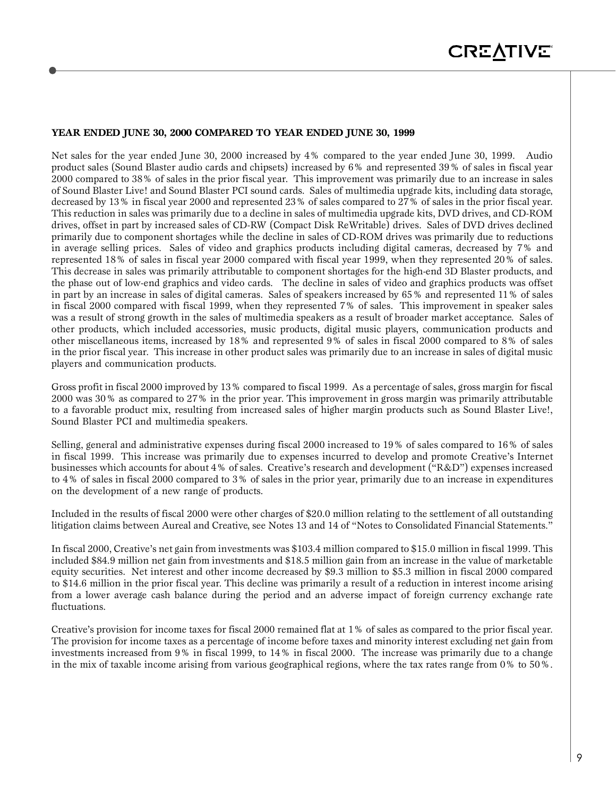#### **YEAR ENDED JUNE 30, 2000 COMPARED TO YEAR ENDED JUNE 30, 1999**

Net sales for the year ended June 30, 2000 increased by 4% compared to the year ended June 30, 1999. Audio product sales (Sound Blaster audio cards and chipsets) increased by 6% and represented 39% of sales in fiscal year 2000 compared to 38% of sales in the prior fiscal year. This improvement was primarily due to an increase in sales of Sound Blaster Live! and Sound Blaster PCI sound cards. Sales of multimedia upgrade kits, including data storage, decreased by 13% in fiscal year 2000 and represented 23% of sales compared to 27% of sales in the prior fiscal year. This reduction in sales was primarily due to a decline in sales of multimedia upgrade kits, DVD drives, and CD-ROM drives, offset in part by increased sales of CD-RW (Compact Disk ReWritable) drives. Sales of DVD drives declined primarily due to component shortages while the decline in sales of CD-ROM drives was primarily due to reductions in average selling prices. Sales of video and graphics products including digital cameras, decreased by 7% and represented 18% of sales in fiscal year 2000 compared with fiscal year 1999, when they represented 20% of sales. This decrease in sales was primarily attributable to component shortages for the high-end 3D Blaster products, and the phase out of low-end graphics and video cards. The decline in sales of video and graphics products was offset in part by an increase in sales of digital cameras. Sales of speakers increased by 65% and represented 11% of sales in fiscal 2000 compared with fiscal 1999, when they represented 7% of sales. This improvement in speaker sales was a result of strong growth in the sales of multimedia speakers as a result of broader market acceptance. Sales of other products, which included accessories, music products, digital music players, communication products and other miscellaneous items, increased by 18% and represented 9% of sales in fiscal 2000 compared to 8% of sales in the prior fiscal year. This increase in other product sales was primarily due to an increase in sales of digital music players and communication products.

Gross profit in fiscal 2000 improved by 13% compared to fiscal 1999. As a percentage of sales, gross margin for fiscal 2000 was 30% as compared to 27% in the prior year. This improvement in gross margin was primarily attributable to a favorable product mix, resulting from increased sales of higher margin products such as Sound Blaster Live!, Sound Blaster PCI and multimedia speakers.

Selling, general and administrative expenses during fiscal 2000 increased to 19% of sales compared to 16% of sales in fiscal 1999. This increase was primarily due to expenses incurred to develop and promote Creative's Internet businesses which accounts for about 4% of sales. Creative's research and development ("R&D") expenses increased to 4% of sales in fiscal 2000 compared to 3% of sales in the prior year, primarily due to an increase in expenditures on the development of a new range of products.

Included in the results of fiscal 2000 were other charges of \$20.0 million relating to the settlement of all outstanding litigation claims between Aureal and Creative, see Notes 13 and 14 of "Notes to Consolidated Financial Statements."

In fiscal 2000, Creative's net gain from investments was \$103.4 million compared to \$15.0 million in fiscal 1999. This included \$84.9 million net gain from investments and \$18.5 million gain from an increase in the value of marketable equity securities. Net interest and other income decreased by \$9.3 million to \$5.3 million in fiscal 2000 compared to \$14.6 million in the prior fiscal year. This decline was primarily a result of a reduction in interest income arising from a lower average cash balance during the period and an adverse impact of foreign currency exchange rate fluctuations.

Creative's provision for income taxes for fiscal 2000 remained flat at 1% of sales as compared to the prior fiscal year. The provision for income taxes as a percentage of income before taxes and minority interest excluding net gain from investments increased from 9% in fiscal 1999, to 14% in fiscal 2000. The increase was primarily due to a change in the mix of taxable income arising from various geographical regions, where the tax rates range from 0% to 50%.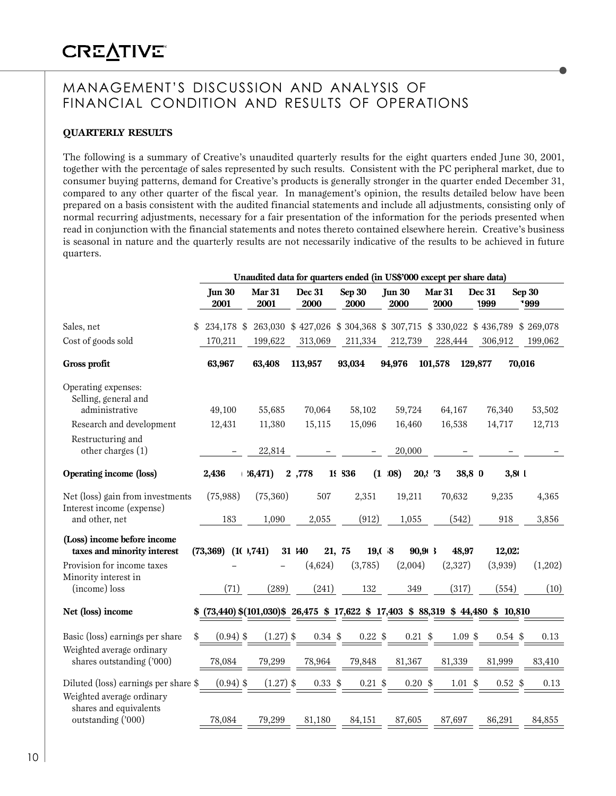## MANAGEMENT'S DISCUSSION AND ANALYSIS OF FINANCIAL CONDITION AND RESULTS OF OPERATIONS

### **QUARTERLY RESULTS**

The following is a summary of Creative's unaudited quarterly results for the eight quarters ended June 30, 2001, together with the percentage of sales represented by such results. Consistent with the PC peripheral market, due to consumer buying patterns, demand for Creative's products is generally stronger in the quarter ended December 31, compared to any other quarter of the fiscal year. In management's opinion, the results detailed below have been prepared on a basis consistent with the audited financial statements and include all adjustments, consisting only of normal recurring adjustments, necessary for a fair presentation of the information for the periods presented when read in conjunction with the financial statements and notes thereto contained elsewhere herein. Creative's business is seasonal in nature and the quarterly results are not necessarily indicative of the results to be achieved in future quarters.

|                                                               |           |                       |                       |        |                |  |                 | Unaudited data for quarters ended (in US\$'000 except per share data)               |                       |              |                |           |                |         |
|---------------------------------------------------------------|-----------|-----------------------|-----------------------|--------|----------------|--|-----------------|-------------------------------------------------------------------------------------|-----------------------|--------------|----------------|-----------|----------------|---------|
|                                                               |           | <b>Jun 30</b><br>2001 | <b>Mar 31</b><br>2001 |        | Dec 31<br>2000 |  | Sep 30<br>2000  | <b>Jun 30</b><br>2000                                                               | <b>Mar 31</b><br>2000 |              | Dec 31<br>1999 |           | Sep 30<br>1999 |         |
| Sales, net                                                    |           | 234,178 \$            |                       |        |                |  |                 | 263,030 \$427,026 \$304,368 \$307,715 \$330,022 \$436,789 \$269,078                 |                       |              |                |           |                |         |
| Cost of goods sold                                            |           | 170,211               | 199,622               |        | 313,069        |  | 211,334         | 212,739                                                                             |                       | 228,444      |                | 306,912   |                | 199,062 |
| Gross profit                                                  |           | 63,967                | 63,408                |        | 113,957        |  | 93,034          | 94,976                                                                              | 101,578               |              | 129,877        |           | 70,016         |         |
| Operating expenses:<br>Selling, general and<br>administrative |           | 49,100                | 55,685                |        | 70,064         |  | 58,102          | 59,724                                                                              |                       | 64,167       |                | 76,340    |                | 53,502  |
| Research and development                                      |           | 12,431                | 11,380                |        | 15,115         |  | 15,096          | 16,460                                                                              |                       | 16,538       |                | 14,717    |                | 12,713  |
| Restructuring and<br>other charges (1)                        |           |                       |                       | 22,814 |                |  |                 | 20,000                                                                              |                       |              |                |           |                |         |
| <b>Operating income (loss)</b>                                |           | 2,436                 | $+36,471)$            |        | 2,778          |  | 1936            | $(1 \t08)$<br>20,173                                                                |                       | 38,8 0       |                | 3,81      |                |         |
| Net (loss) gain from investments<br>Interest income (expense) |           | (75,988)              | (75,360)              |        | 507            |  | 2,351           | 19,211                                                                              |                       | 70,632       |                | 9,235     |                | 4,365   |
| and other, net                                                |           | 183                   | 1,090                 |        | 2,055          |  | (912)           | 1,055                                                                               |                       | (542)        |                | 918       |                | 3,856   |
| (Loss) income before income<br>taxes and minority interest    | (73, 369) |                       | (10, 741)             |        | 31 140         |  | 21, 75<br>19,08 | 90,913                                                                              |                       | 48,97        |                | 12,02:    |                |         |
| Provision for income taxes                                    |           |                       |                       |        | (4,624)        |  | (3,785)         | (2,004)                                                                             |                       | (2,327)      |                | (3,939)   |                | (1,202) |
| Minority interest in<br>(income) loss                         |           | (71)                  | (289)                 |        | (241)          |  | 132             | 349                                                                                 |                       | (317)        |                | (554)     |                | (10)    |
| Net (loss) income                                             |           |                       |                       |        |                |  |                 | $$$ (73,440) \$(101,030)\$ 26,475 \$ 17,622 \$ 17,403 \$ 88,319 \$ 44,480 \$ 10,810 |                       |              |                |           |                |         |
| Basic (loss) earnings per share                               |           | $(0.94)$ \$           | $(1.27)$ \$           |        | $0.34$ \$      |  | $0.22$ \$       | $0.21$ \$                                                                           |                       | $1.09$ \$    |                | $0.54$ \$ |                | 0.13    |
| Weighted average ordinary<br>shares outstanding ('000)        |           | 78,084                | 79,299                |        | 78,964         |  | 79,848          | 81,367                                                                              |                       | 81,339       |                | 81,999    |                | 83,410  |
| Diluted (loss) earnings per share \$                          |           | $(0.94)$ \$           | $(1.27)$ \$           |        | 0.33~\$        |  | $0.21$ \$       | 0.20~\$                                                                             |                       | $1.01 \;$ \$ |                | $0.52$ \$ |                | 0.13    |
| Weighted average ordinary<br>shares and equivalents           |           |                       |                       |        |                |  |                 |                                                                                     |                       |              |                |           |                |         |
| outstanding ('000)                                            |           | 78,084                | 79,299                |        | 81,180         |  | 84,151          | 87,605                                                                              |                       | 87,697       |                | 86,291    |                | 84,855  |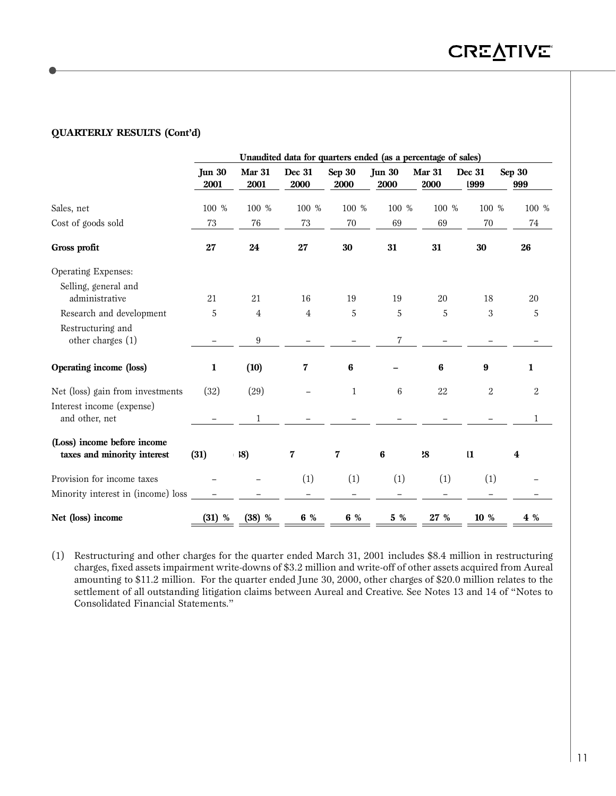### **QUARTERLY RESULTS (Cont'd)**

|                                                            |                       |                | Unaudited data for quarters ended (as a percentage of sales) |                         |                       |                |                  |                         |  |  |  |  |  |
|------------------------------------------------------------|-----------------------|----------------|--------------------------------------------------------------|-------------------------|-----------------------|----------------|------------------|-------------------------|--|--|--|--|--|
|                                                            | <b>Jun 30</b><br>2001 | Mar 31<br>2001 | Dec 31<br>2000                                               | Sep 30<br>2000          | <b>Jun 30</b><br>2000 | Mar 31<br>2000 | Dec 31<br>1999   | Sep 30<br>999           |  |  |  |  |  |
| Sales, net                                                 | 100 %                 | 100 %          | 100 %                                                        | 100 %                   | 100 %                 | 100 %          | 100 %            | 100 %                   |  |  |  |  |  |
| Cost of goods sold                                         | 73                    | 76             | 73                                                           | 70                      | 69                    | 69             | 70               | $74\,$                  |  |  |  |  |  |
| Gross profit                                               | 27                    | 24             | 27                                                           | 30                      | 31                    | 31             | 30               | 26                      |  |  |  |  |  |
| Operating Expenses:                                        |                       |                |                                                              |                         |                       |                |                  |                         |  |  |  |  |  |
| Selling, general and<br>administrative                     | 21                    | 21             | 16                                                           | 19                      | 19                    | 20             | 18               | 20                      |  |  |  |  |  |
| Research and development                                   | 5                     | 4              | 4                                                            | 5                       | 5                     | $\,$ 5 $\,$    | 3                | 5                       |  |  |  |  |  |
| Restructuring and<br>other charges (1)                     |                       | 9              |                                                              |                         | 7                     |                |                  |                         |  |  |  |  |  |
| Operating income (loss)                                    | 1                     | (10)           | 7                                                            | $\bf{6}$                |                       | 6              | $\boldsymbol{9}$ | 1                       |  |  |  |  |  |
| Net (loss) gain from investments                           | (32)                  | (29)           |                                                              | $\mathbf{1}$            | $\,6$                 | $22\,$         | $\sqrt{2}$       | $\overline{\mathbf{2}}$ |  |  |  |  |  |
| Interest income (expense)<br>and other, net                |                       |                |                                                              |                         |                       |                |                  |                         |  |  |  |  |  |
| (Loss) income before income<br>taxes and minority interest | (31)                  | 18)            | 7                                                            | $\overline{\mathbf{7}}$ | 6                     | 38             | $\mathbf{1}$     | 4                       |  |  |  |  |  |
| Provision for income taxes                                 |                       |                | (1)                                                          | (1)                     | (1)                   | (1)            | (1)              |                         |  |  |  |  |  |
| Minority interest in (income) loss                         |                       |                |                                                              |                         |                       |                |                  |                         |  |  |  |  |  |
| Net (loss) income                                          | $(31)$ %              | (38) %         | $6\%$                                                        | 6 %                     | $5\%$                 | 27 %           | 10 %             | 4 %                     |  |  |  |  |  |

(1) Restructuring and other charges for the quarter ended March 31, 2001 includes \$8.4 million in restructuring charges, fixed assets impairment write-downs of \$3.2 million and write-off of other assets acquired from Aureal amounting to \$11.2 million. For the quarter ended June 30, 2000, other charges of \$20.0 million relates to the settlement of all outstanding litigation claims between Aureal and Creative. See Notes 13 and 14 of "Notes to Consolidated Financial Statements."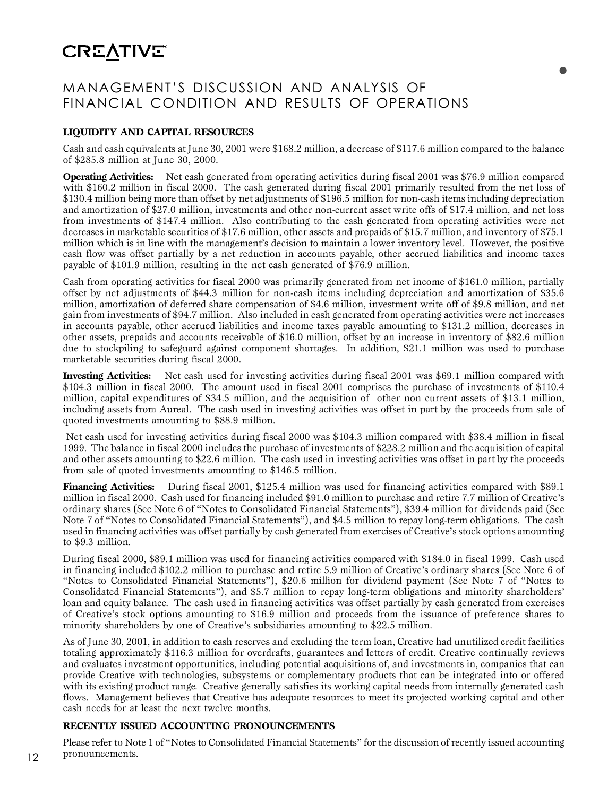# MANAGEMENT'S DISCUSSION AND ANALYSIS OF FINANCIAL CONDITION AND RESULTS OF OPERATIONS

### **LIQUIDITY AND CAPITAL RESOURCES**

Cash and cash equivalents at June 30, 2001 were \$168.2 million, a decrease of \$117.6 million compared to the balance of \$285.8 million at June 30, 2000.

**Operating Activities:** Net cash generated from operating activities during fiscal 2001 was \$76.9 million compared with \$160.2 million in fiscal 2000. The cash generated during fiscal 2001 primarily resulted from the net loss of \$130.4 million being more than offset by net adjustments of \$196.5 million for non-cash items including depreciation and amortization of \$27.0 million, investments and other non-current asset write offs of \$17.4 million, and net loss from investments of \$147.4 million. Also contributing to the cash generated from operating activities were net decreases in marketable securities of \$17.6 million, other assets and prepaids of \$15.7 million, and inventory of \$75.1 million which is in line with the management's decision to maintain a lower inventory level. However, the positive cash flow was offset partially by a net reduction in accounts payable, other accrued liabilities and income taxes payable of \$101.9 million, resulting in the net cash generated of \$76.9 million.

Cash from operating activities for fiscal 2000 was primarily generated from net income of \$161.0 million, partially offset by net adjustments of \$44.3 million for non-cash items including depreciation and amortization of \$35.6 million, amortization of deferred share compensation of \$4.6 million, investment write off of \$9.8 million, and net gain from investments of \$94.7 million. Also included in cash generated from operating activities were net increases in accounts payable, other accrued liabilities and income taxes payable amounting to \$131.2 million, decreases in other assets, prepaids and accounts receivable of \$16.0 million, offset by an increase in inventory of \$82.6 million due to stockpiling to safeguard against component shortages. In addition, \$21.1 million was used to purchase marketable securities during fiscal 2000.

**Investing Activities:** Net cash used for investing activities during fiscal 2001 was \$69.1 million compared with \$104.3 million in fiscal 2000. The amount used in fiscal 2001 comprises the purchase of investments of \$110.4 million, capital expenditures of \$34.5 million, and the acquisition of other non current assets of \$13.1 million, including assets from Aureal. The cash used in investing activities was offset in part by the proceeds from sale of quoted investments amounting to \$88.9 million.

 Net cash used for investing activities during fiscal 2000 was \$104.3 million compared with \$38.4 million in fiscal 1999. The balance in fiscal 2000 includes the purchase of investments of \$228.2 million and the acquisition of capital and other assets amounting to \$22.6 million. The cash used in investing activities was offset in part by the proceeds from sale of quoted investments amounting to \$146.5 million.

**Financing Activities:** During fiscal 2001, \$125.4 million was used for financing activities compared with \$89.1 million in fiscal 2000. Cash used for financing included \$91.0 million to purchase and retire 7.7 million of Creative's ordinary shares (See Note 6 of "Notes to Consolidated Financial Statements"), \$39.4 million for dividends paid (See Note 7 of "Notes to Consolidated Financial Statements"), and \$4.5 million to repay long-term obligations. The cash used in financing activities was offset partially by cash generated from exercises of Creative's stock options amounting to \$9.3 million.

During fiscal 2000, \$89.1 million was used for financing activities compared with \$184.0 in fiscal 1999. Cash used in financing included \$102.2 million to purchase and retire 5.9 million of Creative's ordinary shares (See Note 6 of "Notes to Consolidated Financial Statements"), \$20.6 million for dividend payment (See Note 7 of "Notes to Consolidated Financial Statements"), and \$5.7 million to repay long-term obligations and minority shareholders' loan and equity balance. The cash used in financing activities was offset partially by cash generated from exercises of Creative's stock options amounting to \$16.9 million and proceeds from the issuance of preference shares to minority shareholders by one of Creative's subsidiaries amounting to \$22.5 million.

As of June 30, 2001, in addition to cash reserves and excluding the term loan, Creative had unutilized credit facilities totaling approximately \$116.3 million for overdrafts, guarantees and letters of credit. Creative continually reviews and evaluates investment opportunities, including potential acquisitions of, and investments in, companies that can provide Creative with technologies, subsystems or complementary products that can be integrated into or offered with its existing product range. Creative generally satisfies its working capital needs from internally generated cash flows. Management believes that Creative has adequate resources to meet its projected working capital and other cash needs for at least the next twelve months.

#### **RECENTLY ISSUED ACCOUNTING PRONOUNCEMENTS**

Please refer to Note 1 of "Notes to Consolidated Financial Statements" for the discussion of recently issued accounting pronouncements.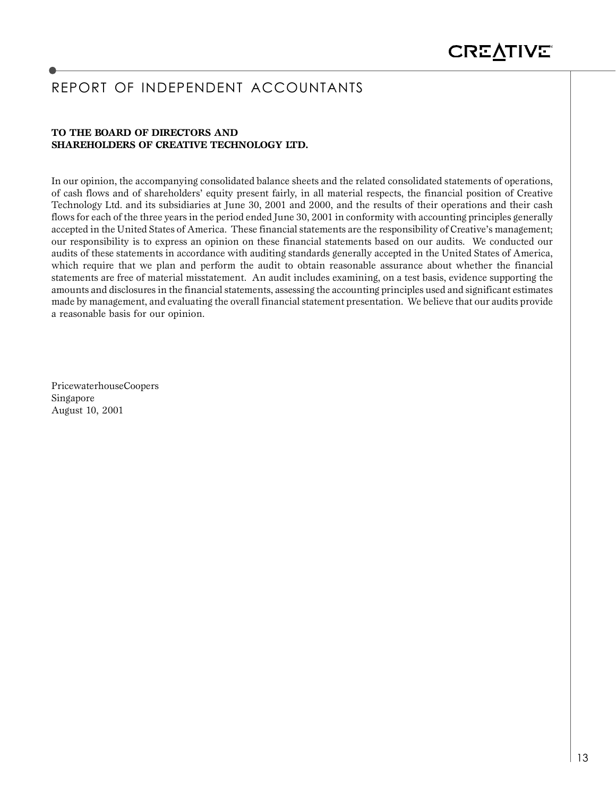# REPORT OF INDEPENDENT ACCOUNTANTS

#### **TO THE BOARD OF DIRECTORS AND SHAREHOLDERS OF CREATIVE TECHNOLOGY LTD.**

In our opinion, the accompanying consolidated balance sheets and the related consolidated statements of operations, of cash flows and of shareholders' equity present fairly, in all material respects, the financial position of Creative Technology Ltd. and its subsidiaries at June 30, 2001 and 2000, and the results of their operations and their cash flows for each of the three years in the period ended June 30, 2001 in conformity with accounting principles generally accepted in the United States of America. These financial statements are the responsibility of Creative's management; our responsibility is to express an opinion on these financial statements based on our audits. We conducted our audits of these statements in accordance with auditing standards generally accepted in the United States of America, which require that we plan and perform the audit to obtain reasonable assurance about whether the financial statements are free of material misstatement. An audit includes examining, on a test basis, evidence supporting the amounts and disclosures in the financial statements, assessing the accounting principles used and significant estimates made by management, and evaluating the overall financial statement presentation. We believe that our audits provide a reasonable basis for our opinion.

PricewaterhouseCoopers Singapore August 10, 2001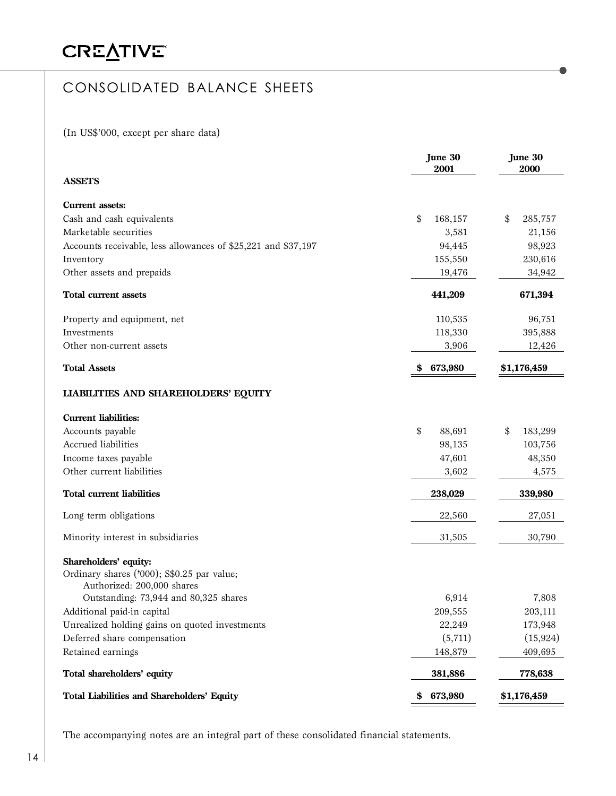# **CREATIVE®**

# CONSOLIDATED BALANCE SHEETS

(In US\$'000, except per share data)

|                                                                                                   | June 30<br>2001 | June 30<br>2000 |
|---------------------------------------------------------------------------------------------------|-----------------|-----------------|
| <b>ASSETS</b>                                                                                     |                 |                 |
| <b>Current assets:</b>                                                                            |                 |                 |
| Cash and cash equivalents                                                                         | \$<br>168,157   | \$<br>285,757   |
| Marketable securities                                                                             | 3,581           | 21,156          |
| Accounts receivable, less allowances of \$25,221 and \$37,197                                     | 94,445          | 98,923          |
| Inventory                                                                                         | 155,550         | 230,616         |
| Other assets and prepaids                                                                         | 19,476          | 34,942          |
| Total current assets                                                                              | 441,209         | 671,394         |
| Property and equipment, net                                                                       | 110,535         | 96,751          |
| Investments                                                                                       | 118,330         | 395,888         |
| Other non-current assets                                                                          | 3,906           | 12,426          |
| <b>Total Assets</b>                                                                               | 673,980<br>S    | \$1,176,459     |
| <b>LIABILITIES AND SHAREHOLDERS' EQUITY</b>                                                       |                 |                 |
| <b>Current liabilities:</b>                                                                       |                 |                 |
| Accounts payable                                                                                  | \$<br>88,691    | \$<br>183,299   |
| Accrued liabilities                                                                               | 98,135          | 103,756         |
| Income taxes payable                                                                              | 47,601          | 48,350          |
| Other current liabilities                                                                         | 3,602           | 4,575           |
| <b>Total current liabilities</b>                                                                  | 238,029         | 339,980         |
| Long term obligations                                                                             | 22,560          | 27,051          |
| Minority interest in subsidiaries                                                                 | 31,505          | 30,790          |
| Shareholders' equity:<br>Ordinary shares ('000); S\$0.25 par value;<br>Authorized: 200,000 shares |                 |                 |
| Outstanding: 73,944 and 80,325 shares                                                             | 6,914           | 7,808           |
| Additional paid-in capital                                                                        | 209,555         | 203,111         |
| Unrealized holding gains on quoted investments                                                    | 22,249          | 173,948         |
| Deferred share compensation                                                                       | (5,711)         | (15, 924)       |
| Retained earnings                                                                                 | 148,879         | 409,695         |
| Total shareholders' equity                                                                        | 381,886         | 778,638         |
| Total Liabilities and Shareholders' Equity                                                        | 673,980<br>\$   | \$1,176,459     |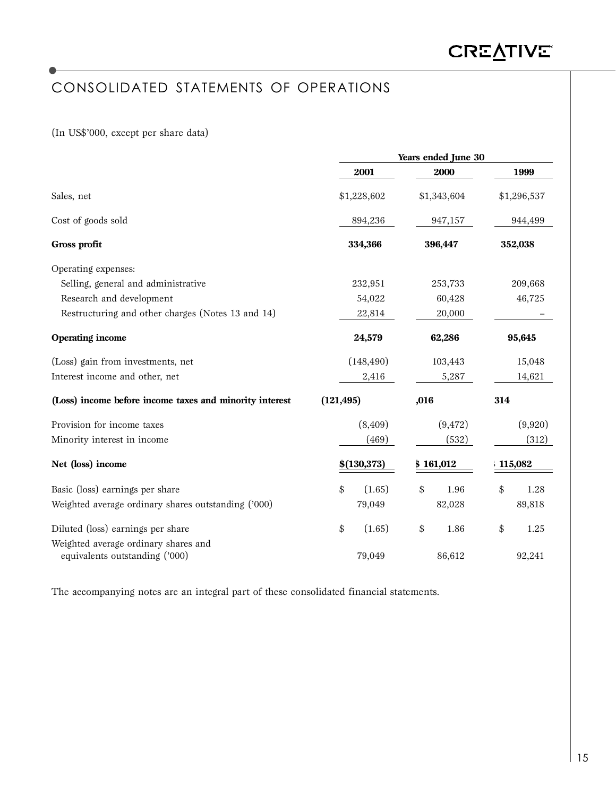# CONSOLIDATED STATEMENTS OF OPERATIONS

### (In US\$'000, except per share data)

|                                                                        |              | Years ended June 30 |             |  |  |
|------------------------------------------------------------------------|--------------|---------------------|-------------|--|--|
|                                                                        | 2001         | 2000                | 1999        |  |  |
| Sales, net                                                             | \$1,228,602  | \$1,343,604         | \$1,296,537 |  |  |
| Cost of goods sold                                                     | 894,236      | 947,157             | 944,499     |  |  |
| Gross profit                                                           | 334,366      | 396,447             | 352,038     |  |  |
| Operating expenses:                                                    |              |                     |             |  |  |
| Selling, general and administrative                                    | 232,951      | 253,733             | 209,668     |  |  |
| Research and development                                               | 54,022       | 60,428              | 46,725      |  |  |
| Restructuring and other charges (Notes 13 and 14)                      | 22,814       | 20,000              |             |  |  |
| <b>Operating income</b>                                                | 24,579       | 62,286              | 95,645      |  |  |
| (Loss) gain from investments, net                                      | (148, 490)   | 103,443             | 15,048      |  |  |
| Interest income and other, net                                         | 2,416        | 5,287               | 14,621      |  |  |
| (Loss) income before income taxes and minority interest                | (121, 495)   | ,016                | 314         |  |  |
| Provision for income taxes                                             | (8,409)      | (9, 472)            | (9,920)     |  |  |
| Minority interest in income                                            | (469)        | (532)               | (312)       |  |  |
| Net (loss) income                                                      | \$(130, 373) | \$161,012           | 115,082     |  |  |
| Basic (loss) earnings per share                                        | (1.65)<br>\$ | \$<br>1.96          | \$<br>1.28  |  |  |
| Weighted average ordinary shares outstanding ('000)                    | 79,049       | 82,028              | 89,818      |  |  |
| Diluted (loss) earnings per share                                      | \$<br>(1.65) | \$<br>1.86          | \$<br>1.25  |  |  |
| Weighted average ordinary shares and<br>equivalents outstanding ('000) | 79,049       | 86,612              | 92,241      |  |  |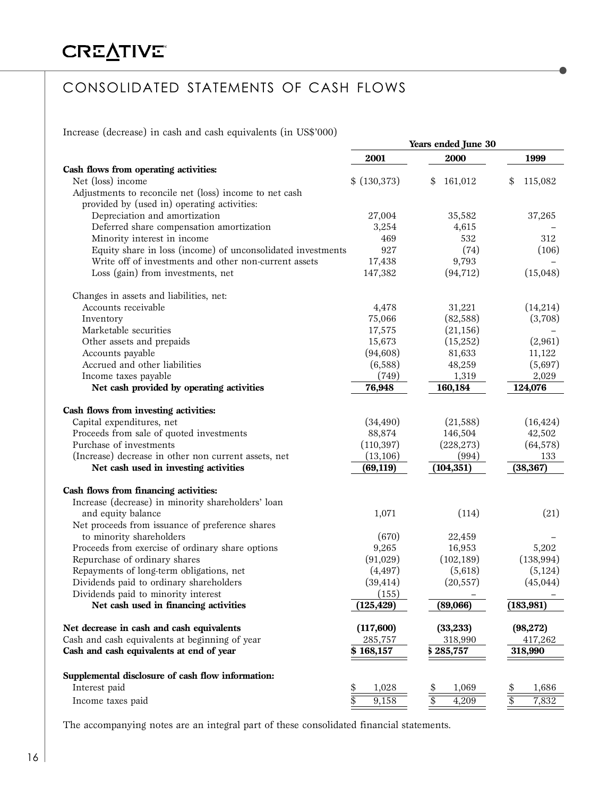# CONSOLIDATED STATEMENTS OF CASH FLOWS

Increase (decrease) in cash and cash equivalents (in US\$'000)

|                                                                    |               | Years ended June 30 |                          |
|--------------------------------------------------------------------|---------------|---------------------|--------------------------|
|                                                                    | 2001          | 2000                | 1999                     |
| Cash flows from operating activities:                              |               |                     |                          |
| Net (loss) income                                                  | \$ (130, 373) | \$<br>161,012       | \$<br>115,082            |
| Adjustments to reconcile net (loss) income to net cash             |               |                     |                          |
| provided by (used in) operating activities:                        |               |                     |                          |
| Depreciation and amortization                                      | 27,004        | 35,582              | 37,265                   |
| Deferred share compensation amortization                           | 3,254         | 4,615               |                          |
| Minority interest in income                                        | 469           | 532                 | 312                      |
| Equity share in loss (income) of unconsolidated investments        | 927           | (74)                | (106)                    |
| Write off of investments and other non-current assets              | 17,438        | 9,793               |                          |
| Loss (gain) from investments, net                                  | 147,382       | (94, 712)           | (15,048)                 |
| Changes in assets and liabilities, net:                            |               |                     |                          |
| Accounts receivable                                                | 4,478         | 31,221              | (14,214)                 |
| Inventory                                                          | 75,066        | (82,588)            | (3,708)                  |
| Marketable securities                                              | 17,575        | (21, 156)           |                          |
| Other assets and prepaids                                          | 15,673        | (15,252)            | (2,961)                  |
| Accounts payable                                                   | (94, 608)     | 81,633              | 11,122                   |
| Accrued and other liabilities                                      | (6,588)       | 48,259              | (5,697)                  |
| Income taxes payable                                               | (749)         | 1,319               | 2,029                    |
| Net cash provided by operating activities                          | 76,948        | 160,184             | 124,076                  |
| Cash flows from investing activities:                              |               |                     |                          |
| Capital expenditures, net                                          | (34, 490)     | (21,588)            | (16, 424)                |
| Proceeds from sale of quoted investments                           | 88,874        | 146,504             | 42,502                   |
| Purchase of investments                                            | (110, 397)    | (228, 273)          | (64, 578)                |
| (Increase) decrease in other non current assets, net               | (13, 106)     | (994)               | 133                      |
| Net cash used in investing activities                              | (69, 119)     | (104, 351)          | (38, 367)                |
| Cash flows from financing activities:                              |               |                     |                          |
| Increase (decrease) in minority shareholders' loan                 |               |                     |                          |
| and equity balance                                                 | 1,071         | (114)               | (21)                     |
| Net proceeds from issuance of preference shares                    |               |                     |                          |
| to minority shareholders                                           | (670)         | 22,459              |                          |
| Proceeds from exercise of ordinary share options                   | 9,265         | 16,953              | 5,202                    |
| Repurchase of ordinary shares                                      | (91,029)      | (102, 189)          | (138, 994)               |
| Repayments of long-term obligations, net                           | (4, 497)      | (5,618)             | (5, 124)                 |
| Dividends paid to ordinary shareholders                            | (39, 414)     | (20, 557)           | (45, 044)                |
| Dividends paid to minority interest                                | (155)         |                     |                          |
| Net cash used in financing activities                              | (125, 429)    | (89,066)            | (183, 981)               |
| Net decrease in cash and cash equivalents                          | (117,600)     | (33, 233)           | (98, 272)                |
| Cash and cash equivalents at beginning of year                     | 285,757       | 318,990             | 417,262                  |
| Cash and cash equivalents at end of year                           | \$168,157     | \$285,757           | 318,990                  |
|                                                                    |               |                     |                          |
| Supplemental disclosure of cash flow information:<br>Interest paid | 1,028<br>\$   | 1,069               | 1,686<br>\$              |
| Income taxes paid                                                  | \$<br>9,158   | \$<br>4,209         | $\overline{\$}$<br>7,832 |
|                                                                    |               |                     |                          |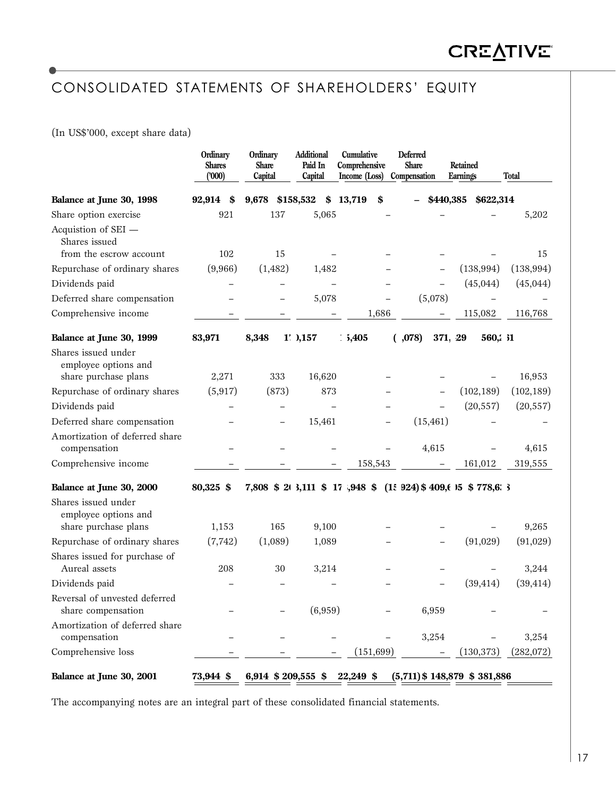# CONSOLIDATED STATEMENTS OF SHAREHOLDERS' EQUITY

(In US\$'000, except share data)

|                                                                     | Ordinary<br><b>Shares</b><br>(000) | Ordinary<br><b>Share</b><br>Capital | Additional<br>Paid In<br>Capital | Cumulative<br>Comprehensive<br>Income (Loss) | <b>Deferred</b><br><b>Share</b><br>Compensation | Retained<br>Earnings | <b>Total</b> |
|---------------------------------------------------------------------|------------------------------------|-------------------------------------|----------------------------------|----------------------------------------------|-------------------------------------------------|----------------------|--------------|
| Balance at June 30, 1998                                            | 92,914<br>\$                       | 9,678                               | \$158,532<br>\$                  | 13,719<br>\$                                 | \$440,385                                       | \$622,314            |              |
| Share option exercise                                               | 921                                | 137                                 | 5,065                            |                                              |                                                 |                      | 5,202        |
| Acquistion of SEI -<br>Shares issued<br>from the escrow account     | 102                                | 15                                  |                                  |                                              |                                                 |                      | 15           |
| Repurchase of ordinary shares                                       | (9,966)                            | (1,482)                             | 1,482                            |                                              |                                                 | (138, 994)           | (138, 994)   |
| Dividends paid                                                      |                                    |                                     |                                  |                                              |                                                 | (45, 044)            | (45, 044)    |
| Deferred share compensation                                         |                                    |                                     | 5,078                            |                                              | (5,078)                                         |                      |              |
| Comprehensive income                                                |                                    |                                     |                                  | 1,686                                        |                                                 | 115,082              | 116,768      |
|                                                                     |                                    |                                     |                                  |                                              |                                                 |                      |              |
| Balance at June 30, 1999                                            | 83,971                             | 8,348                               | $1'$ , $0,157$                   | 1,405                                        | (,078)<br>371.29                                | 560, 31              |              |
| Shares issued under<br>employee options and<br>share purchase plans | 2,271                              | 333                                 | 16,620                           |                                              |                                                 |                      | 16,953       |
| Repurchase of ordinary shares                                       | (5, 917)                           | (873)                               | 873                              |                                              |                                                 | (102, 189)           | (102, 189)   |
| Dividends paid                                                      |                                    |                                     |                                  |                                              |                                                 | (20, 557)            | (20, 557)    |
| Deferred share compensation                                         |                                    |                                     | 15,461                           |                                              | (15, 461)                                       |                      |              |
| Amortization of deferred share<br>compensation                      |                                    |                                     |                                  |                                              | 4,615                                           |                      | 4,615        |
| Comprehensive income                                                |                                    |                                     |                                  | 158,543                                      |                                                 | 161,012              | 319,555      |
| Balance at June 30, 2000                                            | 80,325 \$                          | 7,808 \$ 20 3,111 \$ 17 ,948 \$     |                                  |                                              | $(1.924)$ \$ 409,6 15 \$ 778,6 3                |                      |              |
| Shares issued under<br>employee options and                         |                                    |                                     |                                  |                                              |                                                 |                      |              |
| share purchase plans                                                | 1,153                              | 165                                 | 9,100                            |                                              |                                                 |                      | 9,265        |
| Repurchase of ordinary shares                                       | (7, 742)                           | (1,089)                             | 1,089                            |                                              |                                                 | (91,029)             | (91,029)     |
| Shares issued for purchase of<br>Aureal assets                      | 208                                | 30                                  | 3,214                            |                                              |                                                 |                      | 3,244        |
| Dividends paid                                                      |                                    |                                     |                                  |                                              |                                                 | (39, 414)            | (39, 414)    |
| Reversal of unvested deferred<br>share compensation                 |                                    |                                     | (6,959)                          |                                              | 6,959                                           |                      |              |
| Amortization of deferred share<br>compensation                      |                                    |                                     |                                  |                                              | 3,254                                           |                      | 3,254        |
| Comprehensive loss                                                  |                                    |                                     |                                  | (151, 699)                                   |                                                 | (130, 373)           | (282,072)    |
| Balance at June 30, 2001                                            | 73,944 \$                          | 6,914 \$ 209,555 \$                 |                                  | 22,249 \$                                    | $(5,711)$ \$ 148,879 \$ 381,886                 |                      |              |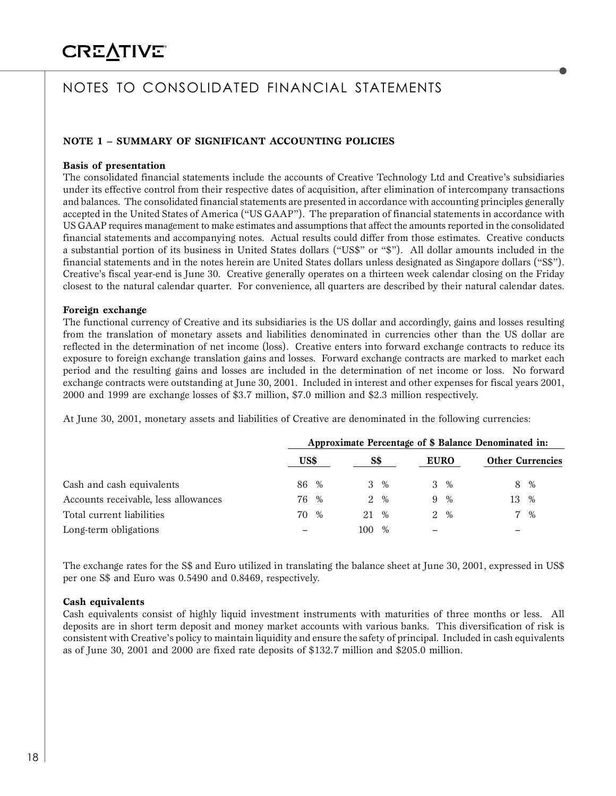# **CREATIVE®**

# NOTES TO CONSOLIDATED FINANCIAL STATEMENTS

### **NOTE 1 – SUMMARY OF SIGNIFICANT ACCOUNTING POLICIES**

#### **Basis of presentation**

The consolidated financial statements include the accounts of Creative Technology Ltd and Creative's subsidiaries under its effective control from their respective dates of acquisition, after elimination of intercompany transactions and balances. The consolidated financial statements are presented in accordance with accounting principles generally accepted in the United States of America ("US GAAP"). The preparation of financial statements in accordance with US GAAP requires management to make estimates and assumptions that affect the amounts reported in the consolidated financial statements and accompanying notes. Actual results could differ from those estimates. Creative conducts a substantial portion of its business in United States dollars ("US\$" or "\$"). All dollar amounts included in the financial statements and in the notes herein are United States dollars unless designated as Singapore dollars ("S\$"). Creative's fiscal year-end is June 30. Creative generally operates on a thirteen week calendar closing on the Friday closest to the natural calendar quarter. For convenience, all quarters are described by their natural calendar dates.

#### **Foreign exchange**

The functional currency of Creative and its subsidiaries is the US dollar and accordingly, gains and losses resulting from the translation of monetary assets and liabilities denominated in currencies other than the US dollar are reflected in the determination of net income (loss). Creative enters into forward exchange contracts to reduce its exposure to foreign exchange translation gains and losses. Forward exchange contracts are marked to market each period and the resulting gains and losses are included in the determination of net income or loss. No forward exchange contracts were outstanding at June 30, 2001. Included in interest and other expenses for fiscal years 2001, 2000 and 1999 are exchange losses of \$3.7 million, \$7.0 million and \$2.3 million respectively.

At June 30, 2001, monetary assets and liabilities of Creative are denominated in the following currencies:

|                                      | Approximate Percentage of \$ Balance Denominated in: |      |             |      |             |                 |                         |       |  |  |
|--------------------------------------|------------------------------------------------------|------|-------------|------|-------------|-----------------|-------------------------|-------|--|--|
|                                      | US\$                                                 |      | S\$         |      | <b>EURO</b> |                 | <b>Other Currencies</b> |       |  |  |
| Cash and cash equivalents            | 86                                                   | $\%$ | 3           | %    |             | $3 \frac{9}{6}$ |                         | 8 %   |  |  |
| Accounts receivable, less allowances | 76                                                   | $\%$ | $2^{\circ}$ | $\%$ | 9           | $\%$            | 13                      | $\%$  |  |  |
| Total current liabilities            | 70                                                   | $\%$ | 21 %        |      |             | $2 \frac{9}{6}$ |                         | $7\%$ |  |  |
| Long-term obligations                |                                                      |      | 100         | %    |             |                 |                         |       |  |  |

The exchange rates for the S\$ and Euro utilized in translating the balance sheet at June 30, 2001, expressed in US\$ per one S\$ and Euro was 0.5490 and 0.8469, respectively.

#### **Cash equivalents**

Cash equivalents consist of highly liquid investment instruments with maturities of three months or less. All deposits are in short term deposit and money market accounts with various banks. This diversification of risk is consistent with Creative's policy to maintain liquidity and ensure the safety of principal. Included in cash equivalents as of June 30, 2001 and 2000 are fixed rate deposits of \$132.7 million and \$205.0 million.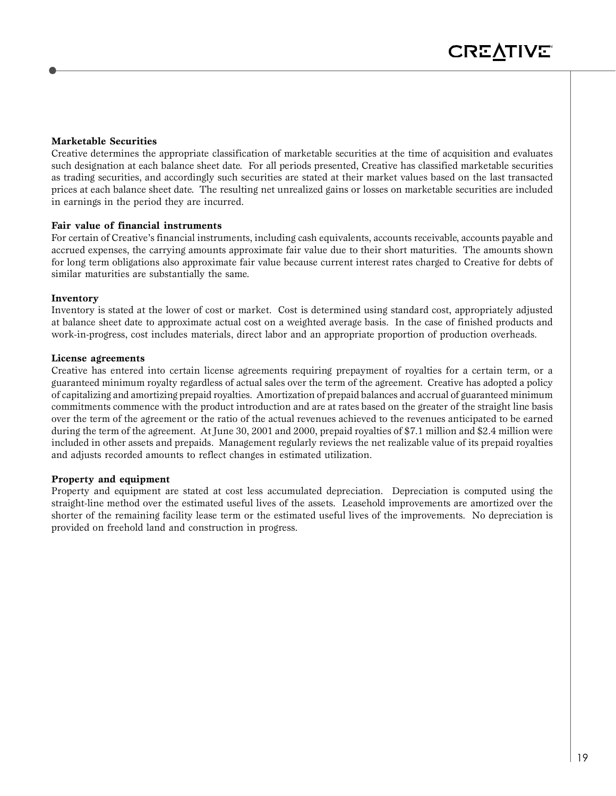#### **Marketable Securities**

Creative determines the appropriate classification of marketable securities at the time of acquisition and evaluates such designation at each balance sheet date. For all periods presented, Creative has classified marketable securities as trading securities, and accordingly such securities are stated at their market values based on the last transacted prices at each balance sheet date. The resulting net unrealized gains or losses on marketable securities are included in earnings in the period they are incurred.

#### **Fair value of financial instruments**

For certain of Creative's financial instruments, including cash equivalents, accounts receivable, accounts payable and accrued expenses, the carrying amounts approximate fair value due to their short maturities. The amounts shown for long term obligations also approximate fair value because current interest rates charged to Creative for debts of similar maturities are substantially the same.

#### **Inventory**

Inventory is stated at the lower of cost or market. Cost is determined using standard cost, appropriately adjusted at balance sheet date to approximate actual cost on a weighted average basis. In the case of finished products and work-in-progress, cost includes materials, direct labor and an appropriate proportion of production overheads.

#### **License agreements**

Creative has entered into certain license agreements requiring prepayment of royalties for a certain term, or a guaranteed minimum royalty regardless of actual sales over the term of the agreement. Creative has adopted a policy of capitalizing and amortizing prepaid royalties. Amortization of prepaid balances and accrual of guaranteed minimum commitments commence with the product introduction and are at rates based on the greater of the straight line basis over the term of the agreement or the ratio of the actual revenues achieved to the revenues anticipated to be earned during the term of the agreement. At June 30, 2001 and 2000, prepaid royalties of \$7.1 million and \$2.4 million were included in other assets and prepaids. Management regularly reviews the net realizable value of its prepaid royalties and adjusts recorded amounts to reflect changes in estimated utilization.

### **Property and equipment**

Property and equipment are stated at cost less accumulated depreciation. Depreciation is computed using the straight-line method over the estimated useful lives of the assets. Leasehold improvements are amortized over the shorter of the remaining facility lease term or the estimated useful lives of the improvements. No depreciation is provided on freehold land and construction in progress.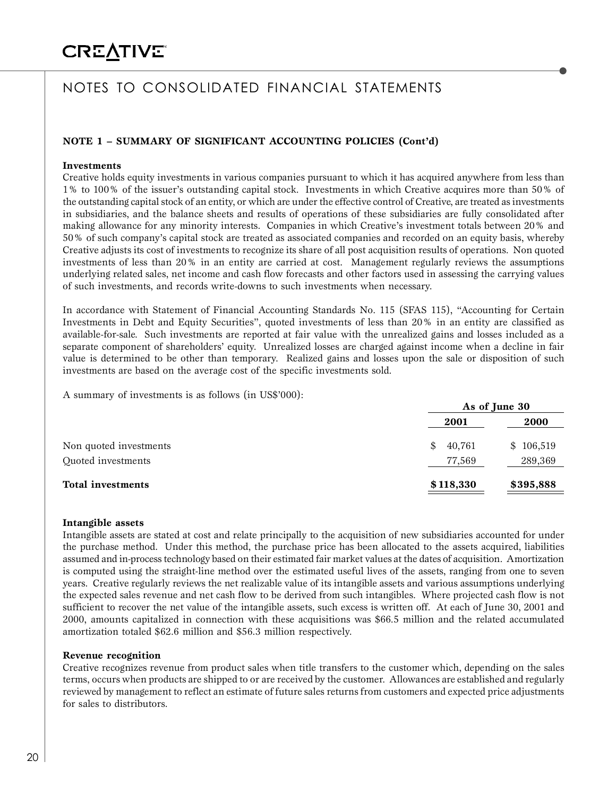# **CREATIVE®**

# NOTES TO CONSOLIDATED FINANCIAL STATEMENTS

### **NOTE 1 – SUMMARY OF SIGNIFICANT ACCOUNTING POLICIES (Cont'd)**

#### **Investments**

Creative holds equity investments in various companies pursuant to which it has acquired anywhere from less than 1% to 100% of the issuer's outstanding capital stock. Investments in which Creative acquires more than 50% of the outstanding capital stock of an entity, or which are under the effective control of Creative, are treated as investments in subsidiaries, and the balance sheets and results of operations of these subsidiaries are fully consolidated after making allowance for any minority interests. Companies in which Creative's investment totals between 20% and 50% of such company's capital stock are treated as associated companies and recorded on an equity basis, whereby Creative adjusts its cost of investments to recognize its share of all post acquisition results of operations. Non quoted investments of less than 20% in an entity are carried at cost. Management regularly reviews the assumptions underlying related sales, net income and cash flow forecasts and other factors used in assessing the carrying values of such investments, and records write-downs to such investments when necessary.

In accordance with Statement of Financial Accounting Standards No. 115 (SFAS 115), "Accounting for Certain Investments in Debt and Equity Securities", quoted investments of less than 20% in an entity are classified as available-for-sale. Such investments are reported at fair value with the unrealized gains and losses included as a separate component of shareholders' equity. Unrealized losses are charged against income when a decline in fair value is determined to be other than temporary. Realized gains and losses upon the sale or disposition of such investments are based on the average cost of the specific investments sold.

A summary of investments is as follows (in US\$'000):

|                          |              | As of June 30 |  |
|--------------------------|--------------|---------------|--|
|                          | 2001         | 2000          |  |
| Non quoted investments   | 40,761<br>\$ | \$106,519     |  |
| Quoted investments       | 77,569       | 289,369       |  |
| <b>Total investments</b> | \$118,330    | \$395,888     |  |

#### **Intangible assets**

Intangible assets are stated at cost and relate principally to the acquisition of new subsidiaries accounted for under the purchase method. Under this method, the purchase price has been allocated to the assets acquired, liabilities assumed and in-process technology based on their estimated fair market values at the dates of acquisition. Amortization is computed using the straight-line method over the estimated useful lives of the assets, ranging from one to seven years. Creative regularly reviews the net realizable value of its intangible assets and various assumptions underlying the expected sales revenue and net cash flow to be derived from such intangibles. Where projected cash flow is not sufficient to recover the net value of the intangible assets, such excess is written off. At each of June 30, 2001 and 2000, amounts capitalized in connection with these acquisitions was \$66.5 million and the related accumulated amortization totaled \$62.6 million and \$56.3 million respectively.

#### **Revenue recognition**

Creative recognizes revenue from product sales when title transfers to the customer which, depending on the sales terms, occurs when products are shipped to or are received by the customer. Allowances are established and regularly reviewed by management to reflect an estimate of future sales returns from customers and expected price adjustments for sales to distributors.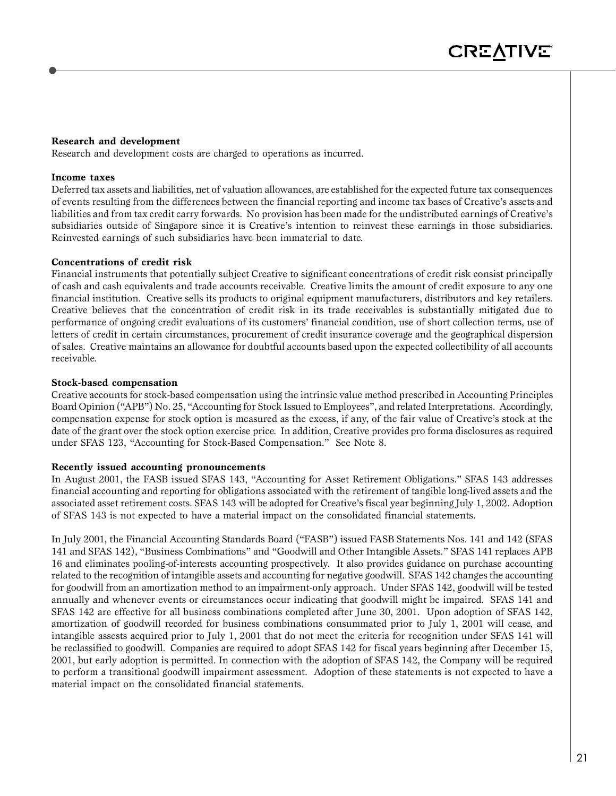#### **Research and development**

Research and development costs are charged to operations as incurred.

#### **Income taxes**

Deferred tax assets and liabilities, net of valuation allowances, are established for the expected future tax consequences of events resulting from the differences between the financial reporting and income tax bases of Creative's assets and liabilities and from tax credit carry forwards. No provision has been made for the undistributed earnings of Creative's subsidiaries outside of Singapore since it is Creative's intention to reinvest these earnings in those subsidiaries. Reinvested earnings of such subsidiaries have been immaterial to date.

#### **Concentrations of credit risk**

Financial instruments that potentially subject Creative to significant concentrations of credit risk consist principally of cash and cash equivalents and trade accounts receivable. Creative limits the amount of credit exposure to any one financial institution. Creative sells its products to original equipment manufacturers, distributors and key retailers. Creative believes that the concentration of credit risk in its trade receivables is substantially mitigated due to performance of ongoing credit evaluations of its customers' financial condition, use of short collection terms, use of letters of credit in certain circumstances, procurement of credit insurance coverage and the geographical dispersion of sales. Creative maintains an allowance for doubtful accounts based upon the expected collectibility of all accounts receivable.

#### **Stock-based compensation**

Creative accounts for stock-based compensation using the intrinsic value method prescribed in Accounting Principles Board Opinion ("APB") No. 25, "Accounting for Stock Issued to Employees", and related Interpretations. Accordingly, compensation expense for stock option is measured as the excess, if any, of the fair value of Creative's stock at the date of the grant over the stock option exercise price. In addition, Creative provides pro forma disclosures as required under SFAS 123, "Accounting for Stock-Based Compensation." See Note 8.

#### **Recently issued accounting pronouncements**

In August 2001, the FASB issued SFAS 143, "Accounting for Asset Retirement Obligations." SFAS 143 addresses financial accounting and reporting for obligations associated with the retirement of tangible long-lived assets and the associated asset retirement costs. SFAS 143 will be adopted for Creative's fiscal year beginning July 1, 2002. Adoption of SFAS 143 is not expected to have a material impact on the consolidated financial statements.

In July 2001, the Financial Accounting Standards Board ("FASB") issued FASB Statements Nos. 141 and 142 (SFAS 141 and SFAS 142), "Business Combinations" and "Goodwill and Other Intangible Assets." SFAS 141 replaces APB 16 and eliminates pooling-of-interests accounting prospectively. It also provides guidance on purchase accounting related to the recognition of intangible assets and accounting for negative goodwill. SFAS 142 changes the accounting for goodwill from an amortization method to an impairment-only approach. Under SFAS 142, goodwill will be tested annually and whenever events or circumstances occur indicating that goodwill might be impaired. SFAS 141 and SFAS 142 are effective for all business combinations completed after June 30, 2001. Upon adoption of SFAS 142, amortization of goodwill recorded for business combinations consummated prior to July 1, 2001 will cease, and intangible assests acquired prior to July 1, 2001 that do not meet the criteria for recognition under SFAS 141 will be reclassified to goodwill. Companies are required to adopt SFAS 142 for fiscal years beginning after December 15, 2001, but early adoption is permitted. In connection with the adoption of SFAS 142, the Company will be required to perform a transitional goodwill impairment assessment. Adoption of these statements is not expected to have a material impact on the consolidated financial statements.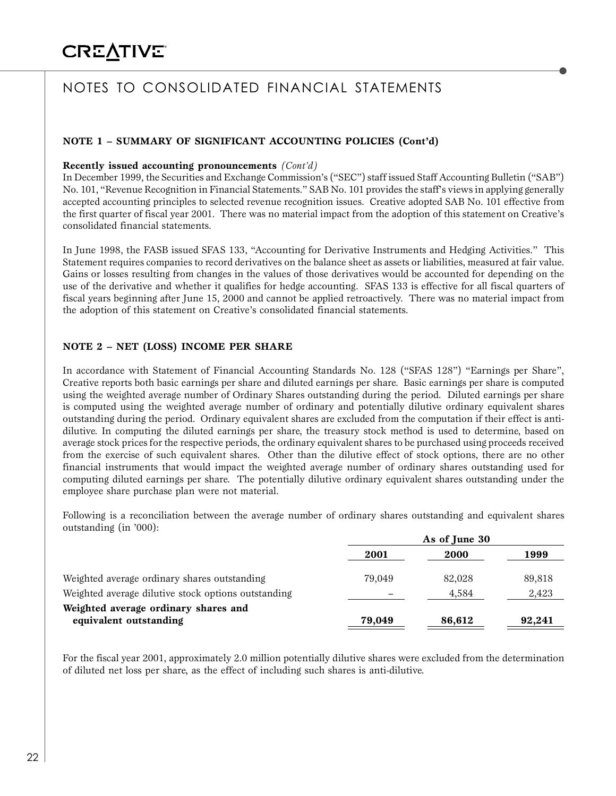### **NOTE 1 – SUMMARY OF SIGNIFICANT ACCOUNTING POLICIES (Cont'd)**

#### **Recently issued accounting pronouncements** *(Cont'd)*

In December 1999, the Securities and Exchange Commission's ("SEC") staff issued Staff Accounting Bulletin ("SAB") No. 101, "Revenue Recognition in Financial Statements." SAB No. 101 provides the staff's views in applying generally accepted accounting principles to selected revenue recognition issues. Creative adopted SAB No. 101 effective from the first quarter of fiscal year 2001. There was no material impact from the adoption of this statement on Creative's consolidated financial statements.

In June 1998, the FASB issued SFAS 133, "Accounting for Derivative Instruments and Hedging Activities." This Statement requires companies to record derivatives on the balance sheet as assets or liabilities, measured at fair value. Gains or losses resulting from changes in the values of those derivatives would be accounted for depending on the use of the derivative and whether it qualifies for hedge accounting. SFAS 133 is effective for all fiscal quarters of fiscal years beginning after June 15, 2000 and cannot be applied retroactively. There was no material impact from the adoption of this statement on Creative's consolidated financial statements.

### **NOTE 2 – NET (LOSS) INCOME PER SHARE**

In accordance with Statement of Financial Accounting Standards No. 128 ("SFAS 128") "Earnings per Share", Creative reports both basic earnings per share and diluted earnings per share. Basic earnings per share is computed using the weighted average number of Ordinary Shares outstanding during the period. Diluted earnings per share is computed using the weighted average number of ordinary and potentially dilutive ordinary equivalent shares outstanding during the period. Ordinary equivalent shares are excluded from the computation if their effect is antidilutive. In computing the diluted earnings per share, the treasury stock method is used to determine, based on average stock prices for the respective periods, the ordinary equivalent shares to be purchased using proceeds received from the exercise of such equivalent shares. Other than the dilutive effect of stock options, there are no other financial instruments that would impact the weighted average number of ordinary shares outstanding used for computing diluted earnings per share. The potentially dilutive ordinary equivalent shares outstanding under the employee share purchase plan were not material.

Following is a reconciliation between the average number of ordinary shares outstanding and equivalent shares outstanding (in '000):

|                                                                | As of June 30 |        |        |  |
|----------------------------------------------------------------|---------------|--------|--------|--|
|                                                                | 2001          | 2000   | 1999   |  |
| Weighted average ordinary shares outstanding                   | 79.049        | 82,028 | 89,818 |  |
| Weighted average dilutive stock options outstanding            |               | 4,584  | 2,423  |  |
| Weighted average ordinary shares and<br>equivalent outstanding | 79,049        | 86,612 | 92,241 |  |
|                                                                |               |        |        |  |

For the fiscal year 2001, approximately 2.0 million potentially dilutive shares were excluded from the determination of diluted net loss per share, as the effect of including such shares is anti-dilutive.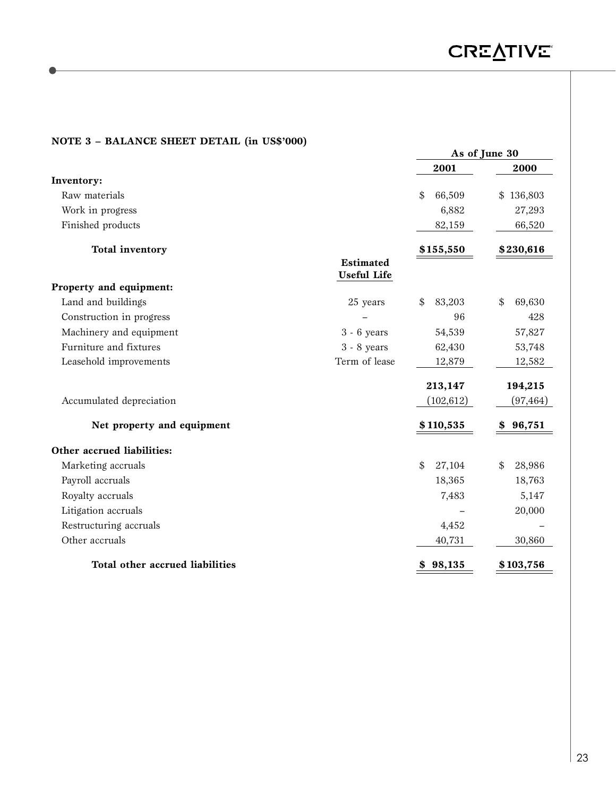### **NOTE 3 – BALANCE SHEET DETAIL (in US\$'000)**

|                                 |                                 | As of June 30 |               |  |
|---------------------------------|---------------------------------|---------------|---------------|--|
|                                 |                                 | 2001          | 2000          |  |
| Inventory:                      |                                 |               |               |  |
| Raw materials                   |                                 | 66,509<br>\$  | 136,803<br>\$ |  |
| Work in progress                |                                 | 6,882         | 27,293        |  |
| Finished products               |                                 | 82,159        | 66,520        |  |
| <b>Total inventory</b>          |                                 | \$155,550     | \$230,616     |  |
|                                 | <b>Estimated</b><br>Useful Life |               |               |  |
| Property and equipment:         |                                 |               |               |  |
| Land and buildings              | 25 years                        | 83,203<br>\$  | \$<br>69,630  |  |
| Construction in progress        |                                 | 96            | 428           |  |
| Machinery and equipment         | $3 - 6$ years                   | 54,539        | 57,827        |  |
| Furniture and fixtures          | $3 - 8$ years                   | 62,430        | 53,748        |  |
| Leasehold improvements          | Term of lease                   | 12,879        | 12,582        |  |
|                                 |                                 | 213,147       | 194,215       |  |
| Accumulated depreciation        |                                 | (102, 612)    | (97, 464)     |  |
| Net property and equipment      |                                 | \$110,535     | 96,751<br>\$  |  |
| Other accrued liabilities:      |                                 |               |               |  |
| Marketing accruals              |                                 | \$<br>27,104  | \$<br>28,986  |  |
| Payroll accruals                |                                 | 18,365        | 18,763        |  |
| Royalty accruals                |                                 | 7,483         | 5,147         |  |
| Litigation accruals             |                                 |               | 20,000        |  |
| Restructuring accruals          |                                 | 4,452         |               |  |
| Other accruals                  |                                 | 40,731        | 30,860        |  |
| Total other accrued liabilities |                                 | 98,135<br>\$  | \$103,756     |  |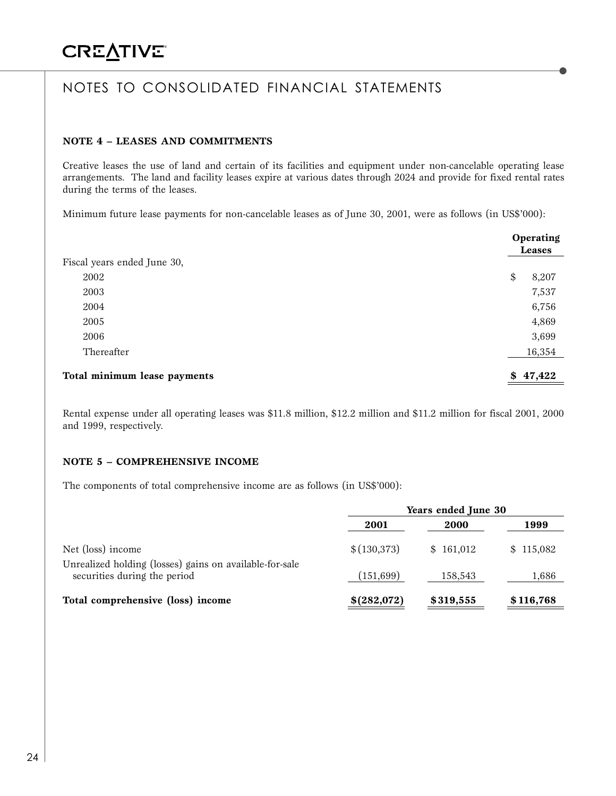### **NOTE 4 – LEASES AND COMMITMENTS**

Creative leases the use of land and certain of its facilities and equipment under non-cancelable operating lease arrangements. The land and facility leases expire at various dates through 2024 and provide for fixed rental rates during the terms of the leases.

Minimum future lease payments for non-cancelable leases as of June 30, 2001, were as follows (in US\$'000):

|                              | <b>Operating</b><br>Leases |
|------------------------------|----------------------------|
| Fiscal years ended June 30,  |                            |
| 2002                         | \$<br>8,207                |
| 2003                         | 7,537                      |
| 2004                         | 6,756                      |
| 2005                         | 4,869                      |
| 2006                         | 3,699                      |
| Thereafter                   | 16,354                     |
| Total minimum lease payments | \$47,422                   |

Rental expense under all operating leases was \$11.8 million, \$12.2 million and \$11.2 million for fiscal 2001, 2000 and 1999, respectively.

### **NOTE 5 – COMPREHENSIVE INCOME**

The components of total comprehensive income are as follows (in US\$'000):

|                                                                                         | Years ended June 30 |           |           |  |
|-----------------------------------------------------------------------------------------|---------------------|-----------|-----------|--|
|                                                                                         | 2001                | 2000      | 1999      |  |
| Net (loss) income                                                                       | \$(130,373)         | \$161,012 | \$115,082 |  |
| Unrealized holding (losses) gains on available-for-sale<br>securities during the period | (151, 699)          | 158,543   | 1,686     |  |
| Total comprehensive (loss) income                                                       | \$(282,072)         | \$319,555 | \$116,768 |  |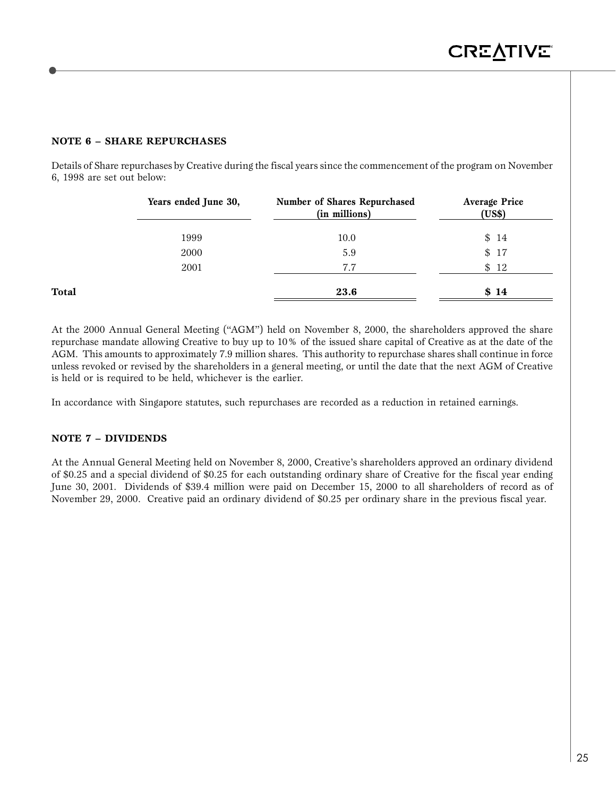### **NOTE 6 – SHARE REPURCHASES**

Details of Share repurchases by Creative during the fiscal years since the commencement of the program on November 6, 1998 are set out below:

|       | Years ended June 30, | Number of Shares Repurchased<br>(in millions) | <b>Average Price</b><br>(US\$) |
|-------|----------------------|-----------------------------------------------|--------------------------------|
|       | 1999                 | 10.0                                          | \$14                           |
|       | 2000                 | 5.9                                           | \$17                           |
|       | 2001                 | 7.7                                           | \$12                           |
| Total |                      | 23.6                                          | \$14                           |

At the 2000 Annual General Meeting ("AGM") held on November 8, 2000, the shareholders approved the share repurchase mandate allowing Creative to buy up to 10% of the issued share capital of Creative as at the date of the AGM. This amounts to approximately 7.9 million shares. This authority to repurchase shares shall continue in force unless revoked or revised by the shareholders in a general meeting, or until the date that the next AGM of Creative is held or is required to be held, whichever is the earlier.

In accordance with Singapore statutes, such repurchases are recorded as a reduction in retained earnings.

#### **NOTE 7 – DIVIDENDS**

At the Annual General Meeting held on November 8, 2000, Creative's shareholders approved an ordinary dividend of \$0.25 and a special dividend of \$0.25 for each outstanding ordinary share of Creative for the fiscal year ending June 30, 2001. Dividends of \$39.4 million were paid on December 15, 2000 to all shareholders of record as of November 29, 2000. Creative paid an ordinary dividend of \$0.25 per ordinary share in the previous fiscal year.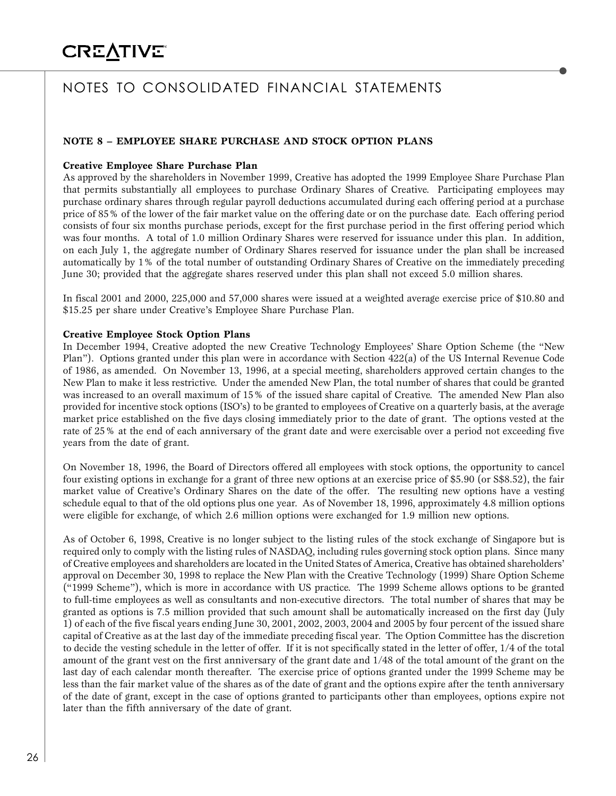### **NOTE 8 – EMPLOYEE SHARE PURCHASE AND STOCK OPTION PLANS**

#### **Creative Employee Share Purchase Plan**

As approved by the shareholders in November 1999, Creative has adopted the 1999 Employee Share Purchase Plan that permits substantially all employees to purchase Ordinary Shares of Creative. Participating employees may purchase ordinary shares through regular payroll deductions accumulated during each offering period at a purchase price of 85% of the lower of the fair market value on the offering date or on the purchase date. Each offering period consists of four six months purchase periods, except for the first purchase period in the first offering period which was four months. A total of 1.0 million Ordinary Shares were reserved for issuance under this plan. In addition, on each July 1, the aggregate number of Ordinary Shares reserved for issuance under the plan shall be increased automatically by 1% of the total number of outstanding Ordinary Shares of Creative on the immediately preceding June 30; provided that the aggregate shares reserved under this plan shall not exceed 5.0 million shares.

In fiscal 2001 and 2000, 225,000 and 57,000 shares were issued at a weighted average exercise price of \$10.80 and \$15.25 per share under Creative's Employee Share Purchase Plan.

#### **Creative Employee Stock Option Plans**

In December 1994, Creative adopted the new Creative Technology Employees' Share Option Scheme (the "New Plan"). Options granted under this plan were in accordance with Section 422(a) of the US Internal Revenue Code of 1986, as amended. On November 13, 1996, at a special meeting, shareholders approved certain changes to the New Plan to make it less restrictive. Under the amended New Plan, the total number of shares that could be granted was increased to an overall maximum of 15% of the issued share capital of Creative. The amended New Plan also provided for incentive stock options (ISO's) to be granted to employees of Creative on a quarterly basis, at the average market price established on the five days closing immediately prior to the date of grant. The options vested at the rate of 25% at the end of each anniversary of the grant date and were exercisable over a period not exceeding five years from the date of grant.

On November 18, 1996, the Board of Directors offered all employees with stock options, the opportunity to cancel four existing options in exchange for a grant of three new options at an exercise price of \$5.90 (or S\$8.52), the fair market value of Creative's Ordinary Shares on the date of the offer. The resulting new options have a vesting schedule equal to that of the old options plus one year. As of November 18, 1996, approximately 4.8 million options were eligible for exchange, of which 2.6 million options were exchanged for 1.9 million new options.

As of October 6, 1998, Creative is no longer subject to the listing rules of the stock exchange of Singapore but is required only to comply with the listing rules of NASDAQ, including rules governing stock option plans. Since many of Creative employees and shareholders are located in the United States of America, Creative has obtained shareholders' approval on December 30, 1998 to replace the New Plan with the Creative Technology (1999) Share Option Scheme ("1999 Scheme"), which is more in accordance with US practice. The 1999 Scheme allows options to be granted to full-time employees as well as consultants and non-executive directors. The total number of shares that may be granted as options is 7.5 million provided that such amount shall be automatically increased on the first day (July 1) of each of the five fiscal years ending June 30, 2001, 2002, 2003, 2004 and 2005 by four percent of the issued share capital of Creative as at the last day of the immediate preceding fiscal year. The Option Committee has the discretion to decide the vesting schedule in the letter of offer. If it is not specifically stated in the letter of offer, 1/4 of the total amount of the grant vest on the first anniversary of the grant date and 1/48 of the total amount of the grant on the last day of each calendar month thereafter. The exercise price of options granted under the 1999 Scheme may be less than the fair market value of the shares as of the date of grant and the options expire after the tenth anniversary of the date of grant, except in the case of options granted to participants other than employees, options expire not later than the fifth anniversary of the date of grant.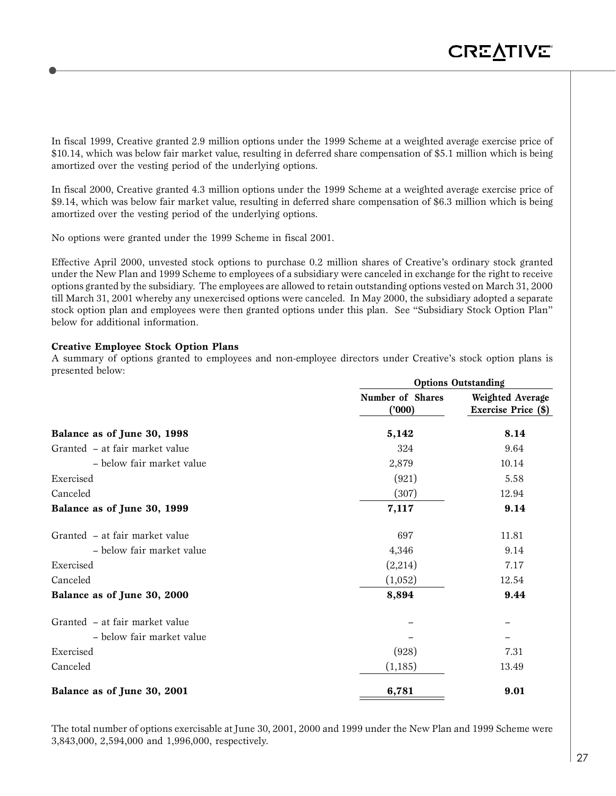In fiscal 1999, Creative granted 2.9 million options under the 1999 Scheme at a weighted average exercise price of \$10.14, which was below fair market value, resulting in deferred share compensation of \$5.1 million which is being amortized over the vesting period of the underlying options.

In fiscal 2000, Creative granted 4.3 million options under the 1999 Scheme at a weighted average exercise price of \$9.14, which was below fair market value, resulting in deferred share compensation of \$6.3 million which is being amortized over the vesting period of the underlying options.

No options were granted under the 1999 Scheme in fiscal 2001.

Effective April 2000, unvested stock options to purchase 0.2 million shares of Creative's ordinary stock granted under the New Plan and 1999 Scheme to employees of a subsidiary were canceled in exchange for the right to receive options granted by the subsidiary. The employees are allowed to retain outstanding options vested on March 31, 2000 till March 31, 2001 whereby any unexercised options were canceled. In May 2000, the subsidiary adopted a separate stock option plan and employees were then granted options under this plan. See "Subsidiary Stock Option Plan" below for additional information.

#### **Creative Employee Stock Option Plans**

A summary of options granted to employees and non-employee directors under Creative's stock option plans is presented below:

|                                | <b>Options Outstanding</b> |                                         |  |  |
|--------------------------------|----------------------------|-----------------------------------------|--|--|
|                                | Number of Shares<br>('000) | Weighted Average<br>Exercise Price (\$) |  |  |
| Balance as of June 30, 1998    | 5,142                      | 8.14                                    |  |  |
| Granted – at fair market value | 324                        | 9.64                                    |  |  |
| - below fair market value      | 2,879                      | 10.14                                   |  |  |
| Exercised                      | (921)                      | 5.58                                    |  |  |
| Canceled                       | (307)                      | 12.94                                   |  |  |
| Balance as of June 30, 1999    | 7,117                      | 9.14                                    |  |  |
| Granted - at fair market value | 697                        | 11.81                                   |  |  |
| - below fair market value      | 4,346                      | 9.14                                    |  |  |
| Exercised                      | (2,214)                    | 7.17                                    |  |  |
| Canceled                       | (1,052)                    | 12.54                                   |  |  |
| Balance as of June 30, 2000    | 8,894                      | 9.44                                    |  |  |
| Granted - at fair market value |                            |                                         |  |  |
| - below fair market value      |                            |                                         |  |  |
| Exercised                      | (928)                      | 7.31                                    |  |  |
| Canceled                       | (1, 185)                   | 13.49                                   |  |  |
| Balance as of June 30, 2001    | 6,781                      | 9.01                                    |  |  |

The total number of options exercisable at June 30, 2001, 2000 and 1999 under the New Plan and 1999 Scheme were 3,843,000, 2,594,000 and 1,996,000, respectively.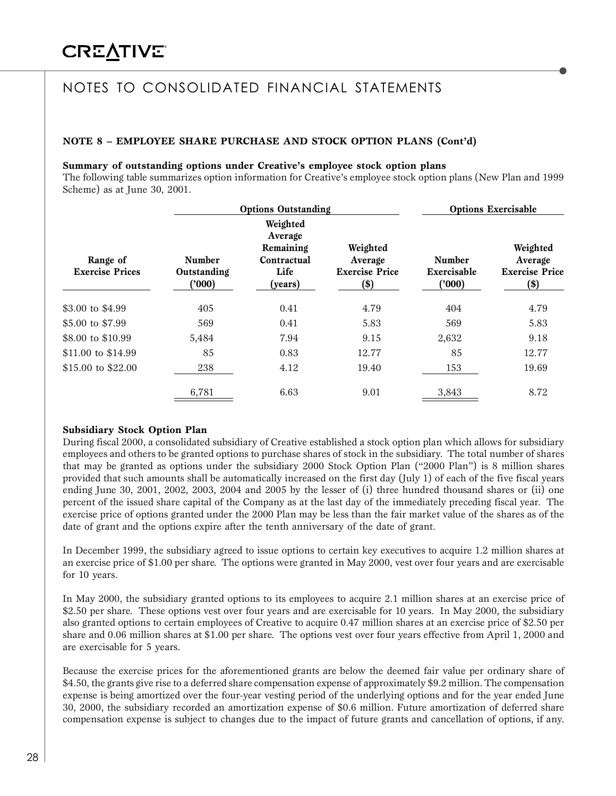### **NOTE 8 – EMPLOYEE SHARE PURCHASE AND STOCK OPTION PLANS (Cont'd)**

#### **Summary of outstanding options under Creative's employee stock option plans**

The following table summarizes option information for Creative's employee stock option plans (New Plan and 1999 Scheme) as at June 30, 2001.

| <b>Options Outstanding</b>         |                                       |                                                                    | <b>Options Exercisable</b>                           |                                       |                                                        |
|------------------------------------|---------------------------------------|--------------------------------------------------------------------|------------------------------------------------------|---------------------------------------|--------------------------------------------------------|
| Range of<br><b>Exercise Prices</b> | <b>Number</b><br>Outstanding<br>(000) | Weighted<br>Average<br>Remaining<br>Contractual<br>Life<br>(years) | Weighted<br>Average<br><b>Exercise Price</b><br>(\$) | <b>Number</b><br>Exercisable<br>(000) | Weighted<br>Average<br><b>Exercise Price</b><br>$(\$)$ |
| \$3.00 to \$4.99                   | 405                                   | 0.41                                                               | 4.79                                                 | 404                                   | 4.79                                                   |
| \$5.00 to \$7.99                   | 569                                   | 0.41                                                               | 5.83                                                 | 569                                   | 5.83                                                   |
| \$8.00 to \$10.99                  | 5,484                                 | 7.94                                                               | 9.15                                                 | 2,632                                 | 9.18                                                   |
| \$11.00 to \$14.99                 | 85                                    | 0.83                                                               | 12.77                                                | 85                                    | 12.77                                                  |
| \$15.00 to \$22.00                 | 238                                   | 4.12                                                               | 19.40                                                | 153                                   | 19.69                                                  |
|                                    | 6,781                                 | 6.63                                                               | 9.01                                                 | 3,843                                 | 8.72                                                   |

#### **Subsidiary Stock Option Plan**

During fiscal 2000, a consolidated subsidiary of Creative established a stock option plan which allows for subsidiary employees and others to be granted options to purchase shares of stock in the subsidiary. The total number of shares that may be granted as options under the subsidiary 2000 Stock Option Plan ("2000 Plan") is 8 million shares provided that such amounts shall be automatically increased on the first day (July 1) of each of the five fiscal years ending June 30, 2001, 2002, 2003, 2004 and 2005 by the lesser of (i) three hundred thousand shares or (ii) one percent of the issued share capital of the Company as at the last day of the immediately preceding fiscal year. The exercise price of options granted under the 2000 Plan may be less than the fair market value of the shares as of the date of grant and the options expire after the tenth anniversary of the date of grant.

In December 1999, the subsidiary agreed to issue options to certain key executives to acquire 1.2 million shares at an exercise price of \$1.00 per share. The options were granted in May 2000, vest over four years and are exercisable for 10 years.

In May 2000, the subsidiary granted options to its employees to acquire 2.1 million shares at an exercise price of \$2.50 per share. These options vest over four years and are exercisable for 10 years. In May 2000, the subsidiary also granted options to certain employees of Creative to acquire 0.47 million shares at an exercise price of \$2.50 per share and 0.06 million shares at \$1.00 per share. The options vest over four years effective from April 1, 2000 and are exercisable for 5 years.

Because the exercise prices for the aforementioned grants are below the deemed fair value per ordinary share of \$4.50, the grants give rise to a deferred share compensation expense of approximately \$9.2 million. The compensation expense is being amortized over the four-year vesting period of the underlying options and for the year ended June 30, 2000, the subsidiary recorded an amortization expense of \$0.6 million. Future amortization of deferred share compensation expense is subject to changes due to the impact of future grants and cancellation of options, if any.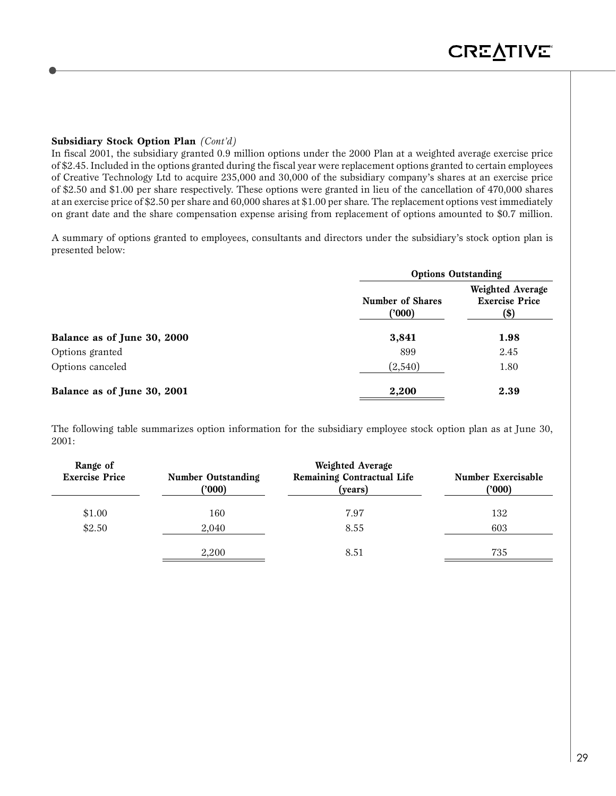### **Subsidiary Stock Option Plan** *(Cont'd)*

In fiscal 2001, the subsidiary granted 0.9 million options under the 2000 Plan at a weighted average exercise price of \$2.45. Included in the options granted during the fiscal year were replacement options granted to certain employees of Creative Technology Ltd to acquire 235,000 and 30,000 of the subsidiary company's shares at an exercise price of \$2.50 and \$1.00 per share respectively. These options were granted in lieu of the cancellation of 470,000 shares at an exercise price of \$2.50 per share and 60,000 shares at \$1.00 per share. The replacement options vest immediately on grant date and the share compensation expense arising from replacement of options amounted to \$0.7 million.

A summary of options granted to employees, consultants and directors under the subsidiary's stock option plan is presented below:

|                             |                            | <b>Options Outstanding</b>                        |  |  |  |
|-----------------------------|----------------------------|---------------------------------------------------|--|--|--|
| Balance as of June 30, 2000 | Number of Shares<br>('000) | Weighted Average<br><b>Exercise Price</b><br>(\$) |  |  |  |
|                             | 3,841                      | 1.98                                              |  |  |  |
| Options granted             | 899                        | 2.45                                              |  |  |  |
| Options canceled            | (2,540)                    | 1.80                                              |  |  |  |
| Balance as of June 30, 2001 | 2,200                      | 2.39                                              |  |  |  |

The following table summarizes option information for the subsidiary employee stock option plan as at June 30, 2001:

| Range of              |                                    | Weighted Average                             |                              |
|-----------------------|------------------------------------|----------------------------------------------|------------------------------|
| <b>Exercise Price</b> | <b>Number Outstanding</b><br>(000) | <b>Remaining Contractual Life</b><br>(years) | Number Exercisable<br>('000) |
| \$1.00                | 160                                | 7.97                                         | 132                          |
| \$2.50                | 2,040                              | 8.55                                         | 603                          |
|                       | 2,200                              | 8.51                                         | 735                          |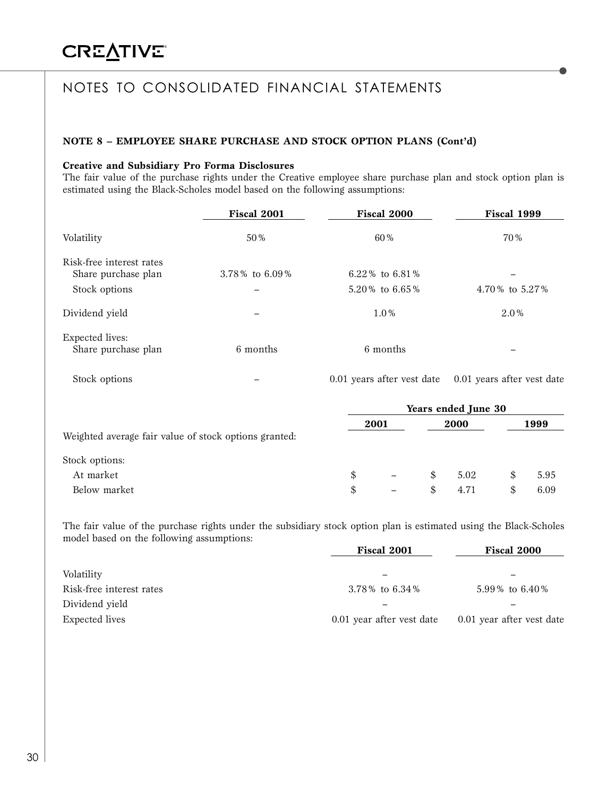### **NOTE 8 – EMPLOYEE SHARE PURCHASE AND STOCK OPTION PLANS (Cont'd)**

#### **Creative and Subsidiary Pro Forma Disclosures**

The fair value of the purchase rights under the Creative employee share purchase plan and stock option plan is estimated using the Black-Scholes model based on the following assumptions:

|                                               | Fiscal 2001       | Fiscal 2000      | Fiscal 1999      |  |
|-----------------------------------------------|-------------------|------------------|------------------|--|
| Volatility                                    | 50%               | 60%              | 70%              |  |
| Risk-free interest rates                      |                   |                  |                  |  |
| Share purchase plan                           | 3.78% to $6.09\%$ | 6.22\% to 6.81\% |                  |  |
| Stock options                                 |                   | 5.20% to 6.65%   | 4.70 % to 5.27 % |  |
| Dividend yield                                |                   | $1.0\%$          | 2.0%             |  |
| <b>Expected lives:</b><br>Share purchase plan | 6 months          | 6 months         | -                |  |
|                                               |                   |                  |                  |  |

Stock options – 0.01 years after vest date 0.01 years after vest date

|                                                       | Years ended June 30 |                 |     |      |   |      |  |
|-------------------------------------------------------|---------------------|-----------------|-----|------|---|------|--|
| Weighted average fair value of stock options granted: |                     | 2001            |     | 2000 |   | 1999 |  |
| Stock options:                                        |                     |                 |     |      |   |      |  |
| At market                                             | \$                  | $\equiv$        | \$. | 5.02 | S | 5.95 |  |
| Below market                                          | \$                  | $\qquad \qquad$ | S   | 4.71 | S | 6.09 |  |

The fair value of the purchase rights under the subsidiary stock option plan is estimated using the Black-Scholes model based on the following assumptions: **Fiscal 2001 Fiscal 2000**

|                          | <b>Fiscal 2001</b>        | <b>Fiscal 2000</b>        |
|--------------------------|---------------------------|---------------------------|
|                          |                           |                           |
| Volatility               |                           |                           |
| Risk-free interest rates | 3.78% to 6.34%            | 5.99% to 6.40%            |
| Dividend yield           |                           |                           |
| Expected lives           | 0.01 year after vest date | 0.01 year after vest date |
|                          |                           |                           |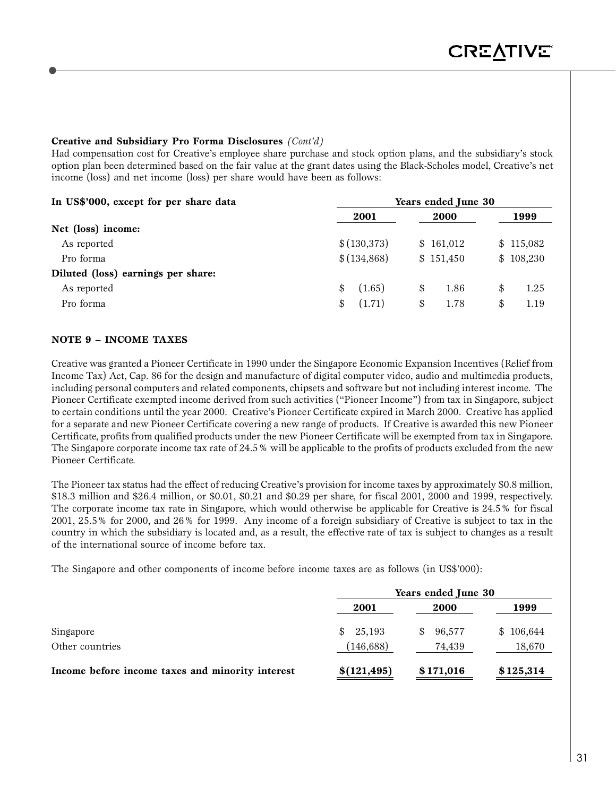### **Creative and Subsidiary Pro Forma Disclosures** *(Cont'd)*

Had compensation cost for Creative's employee share purchase and stock option plans, and the subsidiary's stock option plan been determined based on the fair value at the grant dates using the Black-Scholes model, Creative's net income (loss) and net income (loss) per share would have been as follows:

| In US\$'000, except for per share data | Years ended June 30 |            |            |  |
|----------------------------------------|---------------------|------------|------------|--|
|                                        | 2001                | 2000       | 1999       |  |
| Net (loss) income:                     |                     |            |            |  |
| As reported                            | \$(130,373)         | \$161,012  | \$115,082  |  |
| Pro forma                              | \$(134,868)         | \$151,450  | \$108,230  |  |
| Diluted (loss) earnings per share:     |                     |            |            |  |
| As reported                            | (1.65)<br>\$        | 1.86<br>\$ | 1.25<br>\$ |  |
| Pro forma                              | (1.71)<br>\$        | 1.78<br>\$ | 1.19<br>\$ |  |

### **NOTE 9 – INCOME TAXES**

Creative was granted a Pioneer Certificate in 1990 under the Singapore Economic Expansion Incentives (Relief from Income Tax) Act, Cap. 86 for the design and manufacture of digital computer video, audio and multimedia products, including personal computers and related components, chipsets and software but not including interest income. The Pioneer Certificate exempted income derived from such activities ("Pioneer Income") from tax in Singapore, subject to certain conditions until the year 2000. Creative's Pioneer Certificate expired in March 2000. Creative has applied for a separate and new Pioneer Certificate covering a new range of products. If Creative is awarded this new Pioneer Certificate, profits from qualified products under the new Pioneer Certificate will be exempted from tax in Singapore. The Singapore corporate income tax rate of 24.5% will be applicable to the profits of products excluded from the new Pioneer Certificate.

The Pioneer tax status had the effect of reducing Creative's provision for income taxes by approximately \$0.8 million, \$18.3 million and \$26.4 million, or \$0.01, \$0.21 and \$0.29 per share, for fiscal 2001, 2000 and 1999, respectively. The corporate income tax rate in Singapore, which would otherwise be applicable for Creative is 24.5% for fiscal 2001, 25.5% for 2000, and 26% for 1999. Any income of a foreign subsidiary of Creative is subject to tax in the country in which the subsidiary is located and, as a result, the effective rate of tax is subject to changes as a result of the international source of income before tax.

The Singapore and other components of income before income taxes are as follows (in US\$'000):

|                                                  | Years ended June 30         |                        |                     |  |
|--------------------------------------------------|-----------------------------|------------------------|---------------------|--|
|                                                  | 2001                        | 2000                   | 1999                |  |
| Singapore<br>Other countries                     | 25,193<br>SS.<br>(146, 688) | 96,577<br>S.<br>74.439 | \$106,644<br>18,670 |  |
| Income before income taxes and minority interest | \$(121, 495)                | \$171,016              | \$125,314           |  |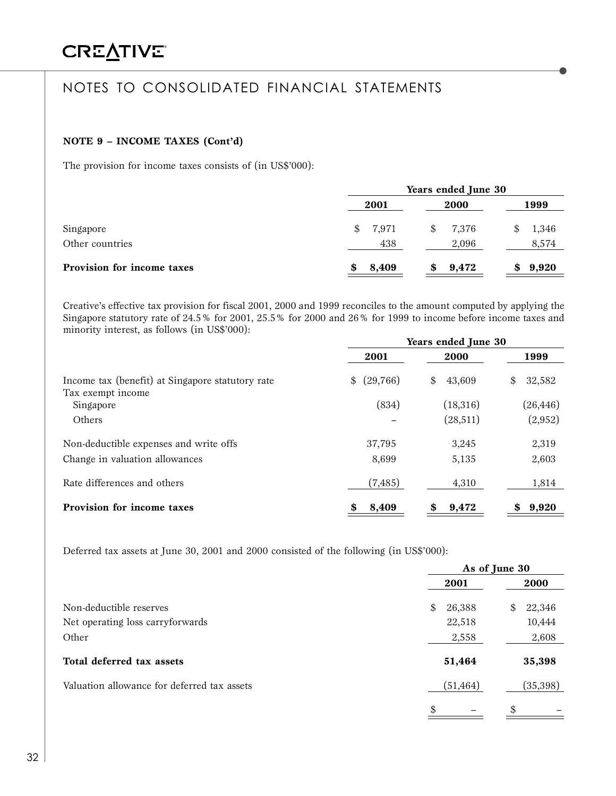### **NOTE 9 – INCOME TAXES (Cont'd)**

The provision for income taxes consists of (in US\$'000):

|                            | Years ended June 30 |             |       |
|----------------------------|---------------------|-------------|-------|
|                            | 2001                | 2000        | 1999  |
| Singapore                  | 7,971<br>S.         | 7,376<br>\$ | 1,346 |
| Other countries            | 438                 | 2,096       | 8,574 |
| Provision for income taxes | 8,409               | 9,472       | 9,920 |

Creative's effective tax provision for fiscal 2001, 2000 and 1999 reconciles to the amount computed by applying the Singapore statutory rate of 24.5% for 2001, 25.5% for 2000 and 26% for 1999 to income before income taxes and minority interest, as follows (in US\$'000):

|                                                                       | Years ended June 30 |              |              |
|-----------------------------------------------------------------------|---------------------|--------------|--------------|
|                                                                       | 2001                | 2000         | 1999         |
| Income tax (benefit) at Singapore statutory rate<br>Tax exempt income | (29,766)<br>\$      | \$<br>43,609 | 32,582<br>\$ |
| Singapore                                                             | (834)               | (18,316)     | (26, 446)    |
| Others                                                                |                     | (28,511)     | (2,952)      |
| Non-deductible expenses and write offs                                | 37,795              | 3,245        | 2,319        |
| Change in valuation allowances                                        | 8,699               | 5,135        | 2,603        |
| Rate differences and others                                           | (7, 485)            | 4,310        | 1,814        |
| Provision for income taxes                                            | 8,409<br>\$         | 9,472<br>\$  | 9,920<br>\$  |

Deferred tax assets at June 30, 2001 and 2000 consisted of the following (in US\$'000):

|                                             | As of June 30 |              |
|---------------------------------------------|---------------|--------------|
|                                             | 2001          | 2000         |
| Non-deductible reserves                     | 26,388<br>\$  | 22,346<br>\$ |
| Net operating loss carryforwards            | 22,518        | 10,444       |
| Other                                       | 2,558         | 2,608        |
| Total deferred tax assets                   | 51,464        | 35,398       |
| Valuation allowance for deferred tax assets | (51, 464)     | (35,398)     |
|                                             | \$            | \$           |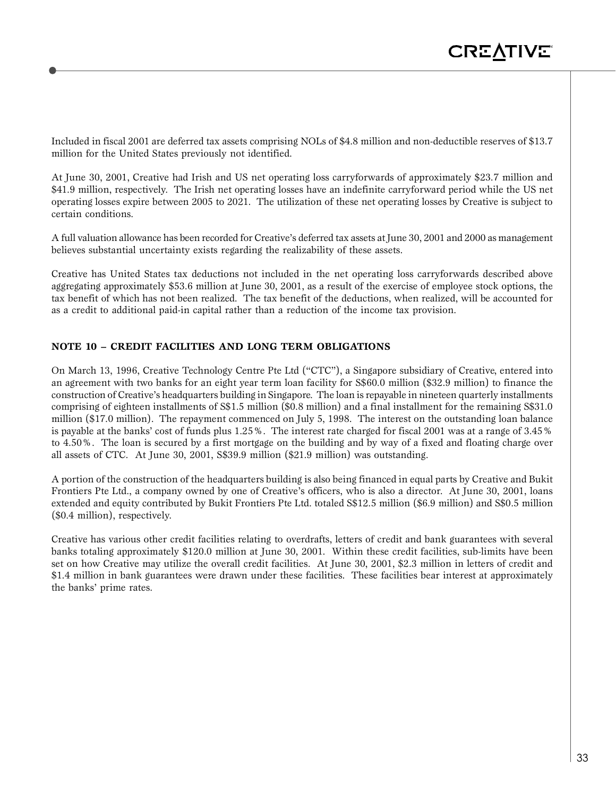Included in fiscal 2001 are deferred tax assets comprising NOLs of \$4.8 million and non-deductible reserves of \$13.7 million for the United States previously not identified.

At June 30, 2001, Creative had Irish and US net operating loss carryforwards of approximately \$23.7 million and \$41.9 million, respectively. The Irish net operating losses have an indefinite carryforward period while the US net operating losses expire between 2005 to 2021. The utilization of these net operating losses by Creative is subject to certain conditions.

A full valuation allowance has been recorded for Creative's deferred tax assets at June 30, 2001 and 2000 as management believes substantial uncertainty exists regarding the realizability of these assets.

Creative has United States tax deductions not included in the net operating loss carryforwards described above aggregating approximately \$53.6 million at June 30, 2001, as a result of the exercise of employee stock options, the tax benefit of which has not been realized. The tax benefit of the deductions, when realized, will be accounted for as a credit to additional paid-in capital rather than a reduction of the income tax provision.

### **NOTE 10 – CREDIT FACILITIES AND LONG TERM OBLIGATIONS**

On March 13, 1996, Creative Technology Centre Pte Ltd ("CTC"), a Singapore subsidiary of Creative, entered into an agreement with two banks for an eight year term loan facility for S\$60.0 million (\$32.9 million) to finance the construction of Creative's headquarters building in Singapore. The loan is repayable in nineteen quarterly installments comprising of eighteen installments of S\$1.5 million (\$0.8 million) and a final installment for the remaining S\$31.0 million (\$17.0 million). The repayment commenced on July 5, 1998. The interest on the outstanding loan balance is payable at the banks' cost of funds plus 1.25%. The interest rate charged for fiscal 2001 was at a range of 3.45% to 4.50%. The loan is secured by a first mortgage on the building and by way of a fixed and floating charge over all assets of CTC. At June 30, 2001, S\$39.9 million (\$21.9 million) was outstanding.

A portion of the construction of the headquarters building is also being financed in equal parts by Creative and Bukit Frontiers Pte Ltd., a company owned by one of Creative's officers, who is also a director. At June 30, 2001, loans extended and equity contributed by Bukit Frontiers Pte Ltd. totaled S\$12.5 million (\$6.9 million) and S\$0.5 million (\$0.4 million), respectively.

Creative has various other credit facilities relating to overdrafts, letters of credit and bank guarantees with several banks totaling approximately \$120.0 million at June 30, 2001. Within these credit facilities, sub-limits have been set on how Creative may utilize the overall credit facilities. At June 30, 2001, \$2.3 million in letters of credit and \$1.4 million in bank guarantees were drawn under these facilities. These facilities bear interest at approximately the banks' prime rates.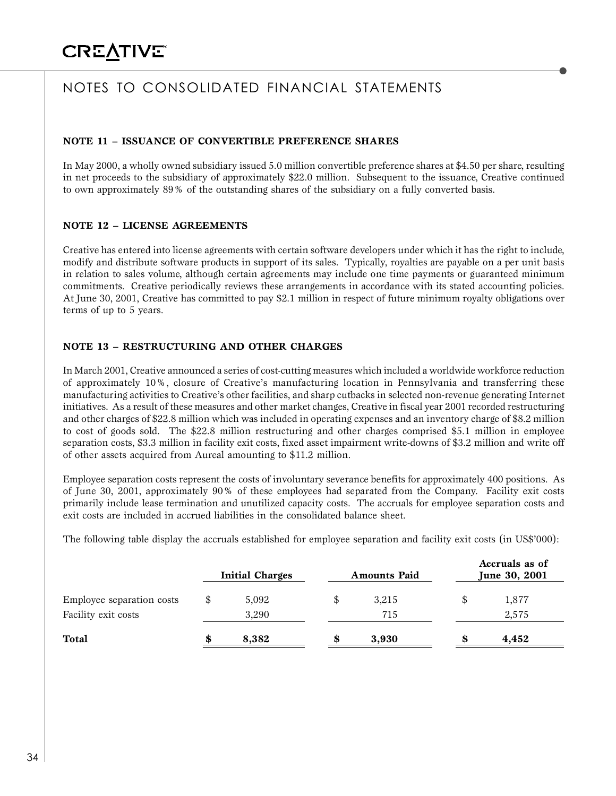### **NOTE 11 – ISSUANCE OF CONVERTIBLE PREFERENCE SHARES**

In May 2000, a wholly owned subsidiary issued 5.0 million convertible preference shares at \$4.50 per share, resulting in net proceeds to the subsidiary of approximately \$22.0 million. Subsequent to the issuance, Creative continued to own approximately 89% of the outstanding shares of the subsidiary on a fully converted basis.

### **NOTE 12 – LICENSE AGREEMENTS**

Creative has entered into license agreements with certain software developers under which it has the right to include, modify and distribute software products in support of its sales. Typically, royalties are payable on a per unit basis in relation to sales volume, although certain agreements may include one time payments or guaranteed minimum commitments. Creative periodically reviews these arrangements in accordance with its stated accounting policies. At June 30, 2001, Creative has committed to pay \$2.1 million in respect of future minimum royalty obligations over terms of up to 5 years.

### **NOTE 13 – RESTRUCTURING AND OTHER CHARGES**

In March 2001, Creative announced a series of cost-cutting measures which included a worldwide workforce reduction of approximately 10%, closure of Creative's manufacturing location in Pennsylvania and transferring these manufacturing activities to Creative's other facilities, and sharp cutbacks in selected non-revenue generating Internet initiatives. As a result of these measures and other market changes, Creative in fiscal year 2001 recorded restructuring and other charges of \$22.8 million which was included in operating expenses and an inventory charge of \$8.2 million to cost of goods sold. The \$22.8 million restructuring and other charges comprised \$5.1 million in employee separation costs, \$3.3 million in facility exit costs, fixed asset impairment write-downs of \$3.2 million and write off of other assets acquired from Aureal amounting to \$11.2 million.

Employee separation costs represent the costs of involuntary severance benefits for approximately 400 positions. As of June 30, 2001, approximately 90% of these employees had separated from the Company. Facility exit costs primarily include lease termination and unutilized capacity costs. The accruals for employee separation costs and exit costs are included in accrued liabilities in the consolidated balance sheet.

The following table display the accruals established for employee separation and facility exit costs (in US\$'000):

|             |                                 |       |                            | Accruals as of<br>June 30, 2001 |
|-------------|---------------------------------|-------|----------------------------|---------------------------------|
| \$<br>5,092 |                                 | 3,215 | \$                         | 1,877                           |
| 8,382       |                                 | 3,930 | S                          | 2,575<br>4,452                  |
|             | <b>Initial Charges</b><br>3,290 |       | <b>Amounts Paid</b><br>715 |                                 |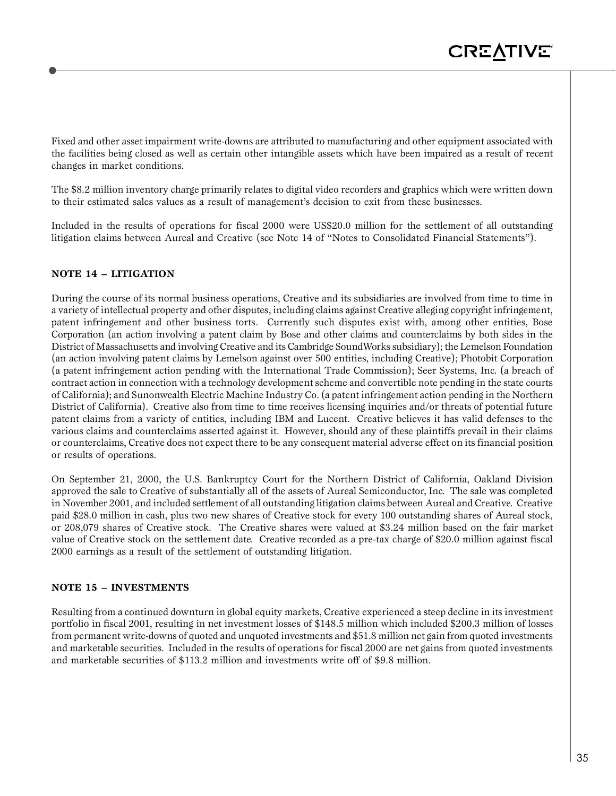Fixed and other asset impairment write-downs are attributed to manufacturing and other equipment associated with the facilities being closed as well as certain other intangible assets which have been impaired as a result of recent changes in market conditions.

The \$8.2 million inventory charge primarily relates to digital video recorders and graphics which were written down to their estimated sales values as a result of management's decision to exit from these businesses.

Included in the results of operations for fiscal 2000 were US\$20.0 million for the settlement of all outstanding litigation claims between Aureal and Creative (see Note 14 of "Notes to Consolidated Financial Statements").

### **NOTE 14 – LITIGATION**

During the course of its normal business operations, Creative and its subsidiaries are involved from time to time in a variety of intellectual property and other disputes, including claims against Creative alleging copyright infringement, patent infringement and other business torts. Currently such disputes exist with, among other entities, Bose Corporation (an action involving a patent claim by Bose and other claims and counterclaims by both sides in the District of Massachusetts and involving Creative and its Cambridge SoundWorks subsidiary); the Lemelson Foundation (an action involving patent claims by Lemelson against over 500 entities, including Creative); Photobit Corporation (a patent infringement action pending with the International Trade Commission); Seer Systems, Inc. (a breach of contract action in connection with a technology development scheme and convertible note pending in the state courts of California); and Sunonwealth Electric Machine Industry Co. (a patent infringement action pending in the Northern District of California). Creative also from time to time receives licensing inquiries and/or threats of potential future patent claims from a variety of entities, including IBM and Lucent. Creative believes it has valid defenses to the various claims and counterclaims asserted against it. However, should any of these plaintiffs prevail in their claims or counterclaims, Creative does not expect there to be any consequent material adverse effect on its financial position or results of operations.

On September 21, 2000, the U.S. Bankruptcy Court for the Northern District of California, Oakland Division approved the sale to Creative of substantially all of the assets of Aureal Semiconductor, Inc. The sale was completed in November 2001, and included settlement of all outstanding litigation claims between Aureal and Creative. Creative paid \$28.0 million in cash, plus two new shares of Creative stock for every 100 outstanding shares of Aureal stock, or 208,079 shares of Creative stock. The Creative shares were valued at \$3.24 million based on the fair market value of Creative stock on the settlement date. Creative recorded as a pre-tax charge of \$20.0 million against fiscal 2000 earnings as a result of the settlement of outstanding litigation.

#### **NOTE 15 – INVESTMENTS**

Resulting from a continued downturn in global equity markets, Creative experienced a steep decline in its investment portfolio in fiscal 2001, resulting in net investment losses of \$148.5 million which included \$200.3 million of losses from permanent write-downs of quoted and unquoted investments and \$51.8 million net gain from quoted investments and marketable securities. Included in the results of operations for fiscal 2000 are net gains from quoted investments and marketable securities of \$113.2 million and investments write off of \$9.8 million.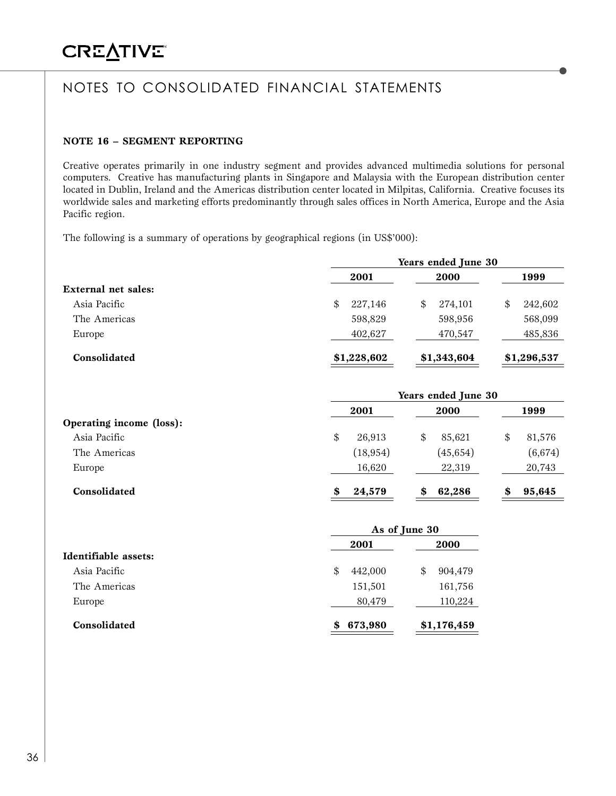### **NOTE 16 – SEGMENT REPORTING**

Creative operates primarily in one industry segment and provides advanced multimedia solutions for personal computers. Creative has manufacturing plants in Singapore and Malaysia with the European distribution center located in Dublin, Ireland and the Americas distribution center located in Milpitas, California. Creative focuses its worldwide sales and marketing efforts predominantly through sales offices in North America, Europe and the Asia Pacific region.

The following is a summary of operations by geographical regions (in US\$'000):

|                     | Years ended June 30 |               |               |
|---------------------|---------------------|---------------|---------------|
|                     | 2001                | 2000          | 1999          |
| External net sales: |                     |               |               |
| Asia Pacific        | 227,146<br>\$       | 274.101<br>\$ | 242,602<br>\$ |
| The Americas        | 598,829             | 598,956       | 568,099       |
| Europe              | 402,627             | 470,547       | 485,836       |
| Consolidated        | \$1,228,602         | \$1,343,604   | \$1,296,537   |

|                          | Years ended June 30 |              |              |  |  |
|--------------------------|---------------------|--------------|--------------|--|--|
|                          | 2001                | <b>2000</b>  | 1999         |  |  |
| Operating income (loss): |                     |              |              |  |  |
| Asia Pacific             | 26,913<br>\$        | 85,621<br>\$ | 81,576<br>\$ |  |  |
| The Americas             | (18, 954)           | (45, 654)    | (6, 674)     |  |  |
| Europe                   | 16,620              | 22,319       | 20,743       |  |  |
| Consolidated             | 24,579<br>S         | 62,286<br>S  | 95,645<br>S  |  |  |

|                      | As of June 30 |              |  |
|----------------------|---------------|--------------|--|
|                      | 2001          | <b>2000</b>  |  |
| Identifiable assets: |               |              |  |
| Asia Pacific         | 442,000<br>\$ | 904,479<br>S |  |
| The Americas         | 151,501       | 161,756      |  |
| Europe               | 80,479        | 110,224      |  |
| Consolidated         | 673,980       | \$1,176,459  |  |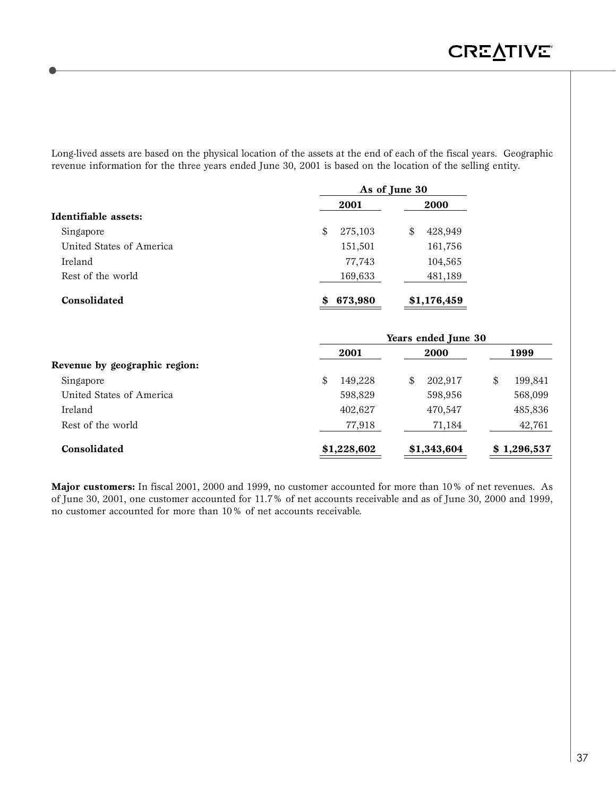Long-lived assets are based on the physical location of the assets at the end of each of the fiscal years. Geographic revenue information for the three years ended June 30, 2001 is based on the location of the selling entity.

| 2001          | 2000          |
|---------------|---------------|
|               |               |
| \$<br>275,103 | 428,949<br>\$ |
| 151,501       | 161,756       |
| 77,743        | 104,565       |
| 169,633       | 481,189       |
| 673,980<br>\$ | \$1,176,459   |
|               |               |

| 2001          | 2000          | 1999                |
|---------------|---------------|---------------------|
|               |               |                     |
| \$<br>149,228 | 202,917<br>\$ | 199,841<br>\$       |
| 598,829       | 598,956       | 568,099             |
| 402,627       | 470,547       | 485,836             |
| 77,918        | 71,184        | 42,761              |
| \$1,228,602   | \$1,343,604   | \$1,296,537         |
|               |               | rears ended june 50 |

**Major customers:** In fiscal 2001, 2000 and 1999, no customer accounted for more than 10% of net revenues. As of June 30, 2001, one customer accounted for 11.7% of net accounts receivable and as of June 30, 2000 and 1999, no customer accounted for more than 10% of net accounts receivable.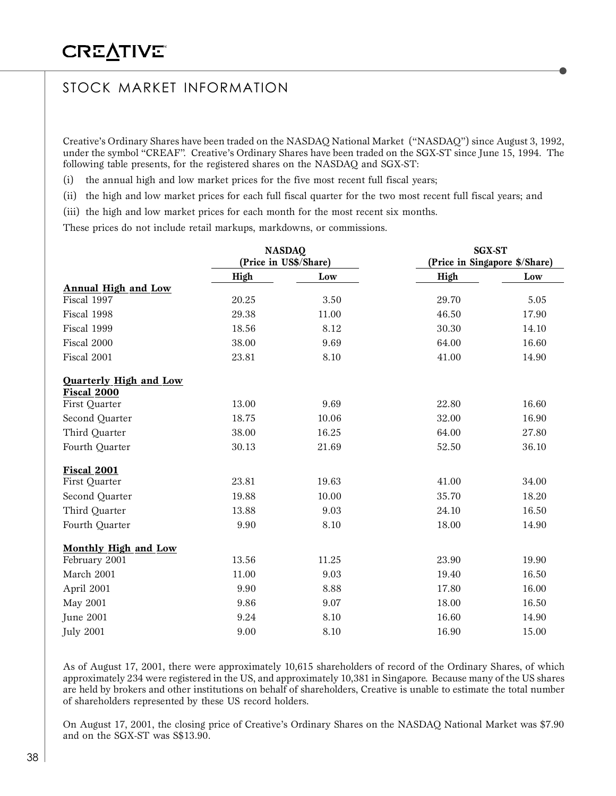# STOCK MARKET INFORMATION

Creative's Ordinary Shares have been traded on the NASDAQ National Market ("NASDAQ") since August 3, 1992, under the symbol "CREAF". Creative's Ordinary Shares have been traded on the SGX-ST since June 15, 1994. The following table presents, for the registered shares on the NASDAQ and SGX-ST:

(i) the annual high and low market prices for the five most recent full fiscal years;

(ii) the high and low market prices for each full fiscal quarter for the two most recent full fiscal years; and

(iii) the high and low market prices for each month for the most recent six months.

These prices do not include retail markups, markdowns, or commissions.

|                                       | <b>NASDAQ</b><br>(Price in US\$/Share) |       | <b>SGX-ST</b><br>(Price in Singapore \$/Share) |       |
|---------------------------------------|----------------------------------------|-------|------------------------------------------------|-------|
|                                       |                                        |       |                                                |       |
|                                       | High                                   | Low   | High                                           | Low   |
| Annual High and Low                   |                                        |       |                                                |       |
| Fiscal 1997                           | 20.25                                  | 3.50  | 29.70                                          | 5.05  |
| Fiscal 1998                           | 29.38                                  | 11.00 | 46.50                                          | 17.90 |
| Fiscal 1999                           | 18.56                                  | 8.12  | 30.30                                          | 14.10 |
| Fiscal 2000                           | 38.00                                  | 9.69  | 64.00                                          | 16.60 |
| Fiscal 2001                           | 23.81                                  | 8.10  | 41.00                                          | 14.90 |
| Quarterly High and Low<br>Fiscal 2000 |                                        |       |                                                |       |
| First Quarter                         | 13.00                                  | 9.69  | 22.80                                          | 16.60 |
| Second Quarter                        | 18.75                                  | 10.06 | 32.00                                          | 16.90 |
| Third Quarter                         | 38.00                                  | 16.25 | 64.00                                          | 27.80 |
| Fourth Quarter                        | 30.13                                  | 21.69 | 52.50                                          | 36.10 |
| Fiscal 2001                           |                                        |       |                                                |       |
| First Quarter                         | 23.81                                  | 19.63 | 41.00                                          | 34.00 |
| Second Quarter                        | 19.88                                  | 10.00 | 35.70                                          | 18.20 |
| Third Quarter                         | 13.88                                  | 9.03  | 24.10                                          | 16.50 |
| Fourth Quarter                        | 9.90                                   | 8.10  | 18.00                                          | 14.90 |
| Monthly High and Low                  |                                        |       |                                                |       |
| February 2001                         | 13.56                                  | 11.25 | 23.90                                          | 19.90 |
| March 2001                            | 11.00                                  | 9.03  | 19.40                                          | 16.50 |
| April 2001                            | 9.90                                   | 8.88  | 17.80                                          | 16.00 |
| May 2001                              | 9.86                                   | 9.07  | 18.00                                          | 16.50 |
| June 2001                             | 9.24                                   | 8.10  | 16.60                                          | 14.90 |
| <b>July 2001</b>                      | 9.00                                   | 8.10  | 16.90                                          | 15.00 |

As of August 17, 2001, there were approximately 10,615 shareholders of record of the Ordinary Shares, of which approximately 234 were registered in the US, and approximately 10,381 in Singapore. Because many of the US shares are held by brokers and other institutions on behalf of shareholders, Creative is unable to estimate the total number of shareholders represented by these US record holders.

On August 17, 2001, the closing price of Creative's Ordinary Shares on the NASDAQ National Market was \$7.90 and on the SGX-ST was S\$13.90.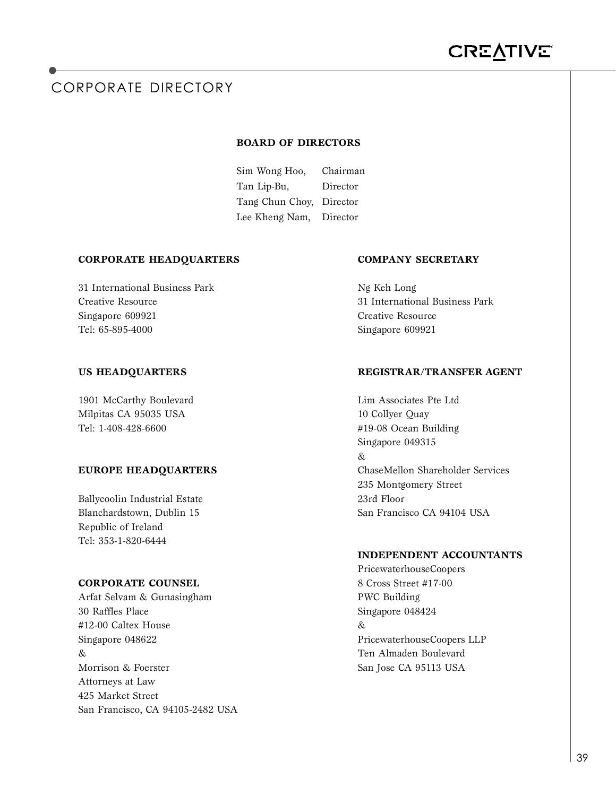# CORPORATE DIRECTORY

#### **BOARD OF DIRECTORS**

Sim Wong Hoo, Chairman Tan Lip-Bu, Director Tang Chun Choy, Director Lee Kheng Nam, Director

#### **CORPORATE HEADQUARTERS COMPANY SECRETARY**

31 International Business Park Ng Keh Long Singapore 609921 Creative Resource Tel: 65-895-4000 Singapore 609921

1901 McCarthy Boulevard Lim Associates Pte Ltd Milpitas CA 95035 USA 10 Collyer Quay Tel: 1-408-428-6600 #19-08 Ocean Building

Ballycoolin Industrial Estate 23rd Floor Republic of Ireland Tel: 353-1-820-6444

### **CORPORATE COUNSEL** 8 Cross Street #17-00

Arfat Selvam & Gunasingham PWC Building 30 Raffles Place Singapore 048424 #12-00 Caltex House & Singapore 048622 PricewaterhouseCoopers LLP & Ten Almaden Boulevard Morrison & Foerster San Jose CA 95113 USA Attorneys at Law 425 Market Street San Francisco, CA 94105-2482 USA

Creative Resource 31 International Business Park

#### **US HEADQUARTERS REGISTRAR/TRANSFER AGENT**

Singapore 049315  $\mathcal{R}_{i}$ **EUROPE HEADQUARTERS** ChaseMellon Shareholder Services 235 Montgomery Street Blanchardstown, Dublin 15 San Francisco CA 94104 USA

#### **INDEPENDENT ACCOUNTANTS**

PricewaterhouseCoopers